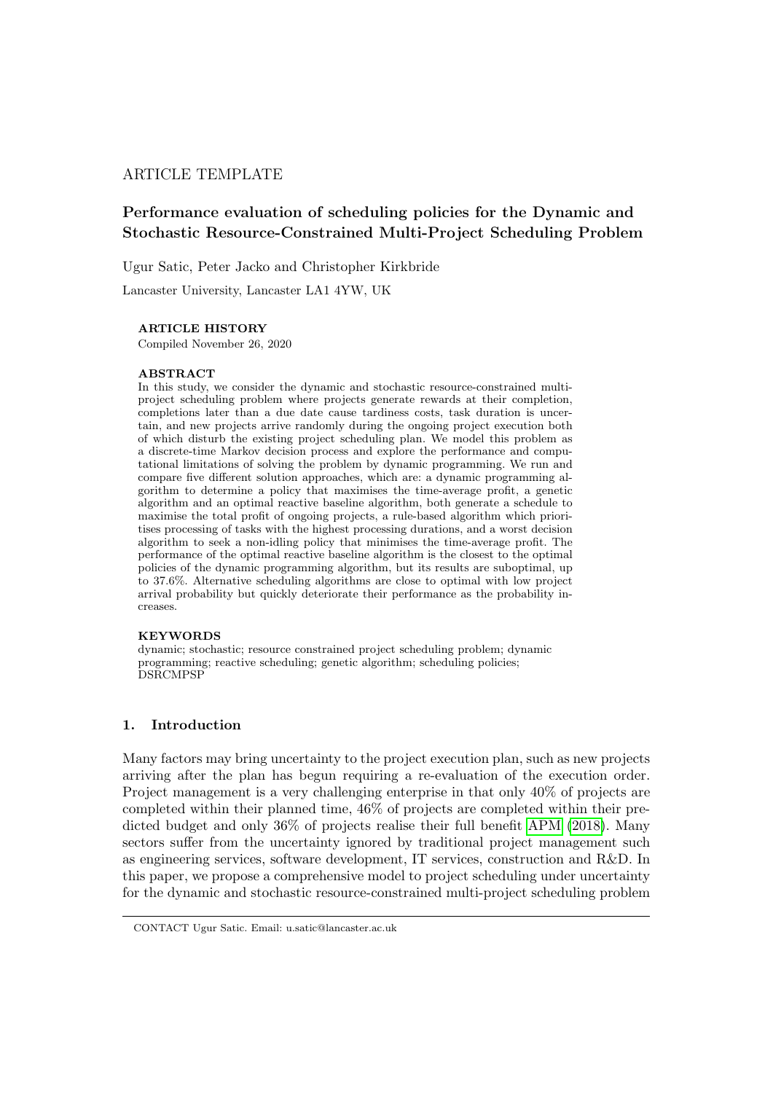# ARTICLE TEMPLATE

# Performance evaluation of scheduling policies for the Dynamic and Stochastic Resource-Constrained Multi-Project Scheduling Problem

Ugur Satic, Peter Jacko and Christopher Kirkbride

Lancaster University, Lancaster LA1 4YW, UK

## ARTICLE HISTORY

Compiled November 26, 2020

### ABSTRACT

In this study, we consider the dynamic and stochastic resource-constrained multiproject scheduling problem where projects generate rewards at their completion, completions later than a due date cause tardiness costs, task duration is uncertain, and new projects arrive randomly during the ongoing project execution both of which disturb the existing project scheduling plan. We model this problem as a discrete-time Markov decision process and explore the performance and computational limitations of solving the problem by dynamic programming. We run and compare five different solution approaches, which are: a dynamic programming algorithm to determine a policy that maximises the time-average profit, a genetic algorithm and an optimal reactive baseline algorithm, both generate a schedule to maximise the total profit of ongoing projects, a rule-based algorithm which prioritises processing of tasks with the highest processing durations, and a worst decision algorithm to seek a non-idling policy that minimises the time-average profit. The performance of the optimal reactive baseline algorithm is the closest to the optimal policies of the dynamic programming algorithm, but its results are suboptimal, up to 37.6%. Alternative scheduling algorithms are close to optimal with low project arrival probability but quickly deteriorate their performance as the probability increases.

### **KEYWORDS**

dynamic; stochastic; resource constrained project scheduling problem; dynamic programming; reactive scheduling; genetic algorithm; scheduling policies; DSRCMPSP

# 1. Introduction

Many factors may bring uncertainty to the project execution plan, such as new projects arriving after the plan has begun requiring a re-evaluation of the execution order. Project management is a very challenging enterprise in that only 40% of projects are completed within their planned time, 46% of projects are completed within their predicted budget and only 36% of projects realise their full benefit [APM](#page-17-0) [\(2018\)](#page-17-0). Many sectors suffer from the uncertainty ignored by traditional project management such as engineering services, software development, IT services, construction and R&D. In this paper, we propose a comprehensive model to project scheduling under uncertainty for the dynamic and stochastic resource-constrained multi-project scheduling problem

CONTACT Ugur Satic. Email: u.satic@lancaster.ac.uk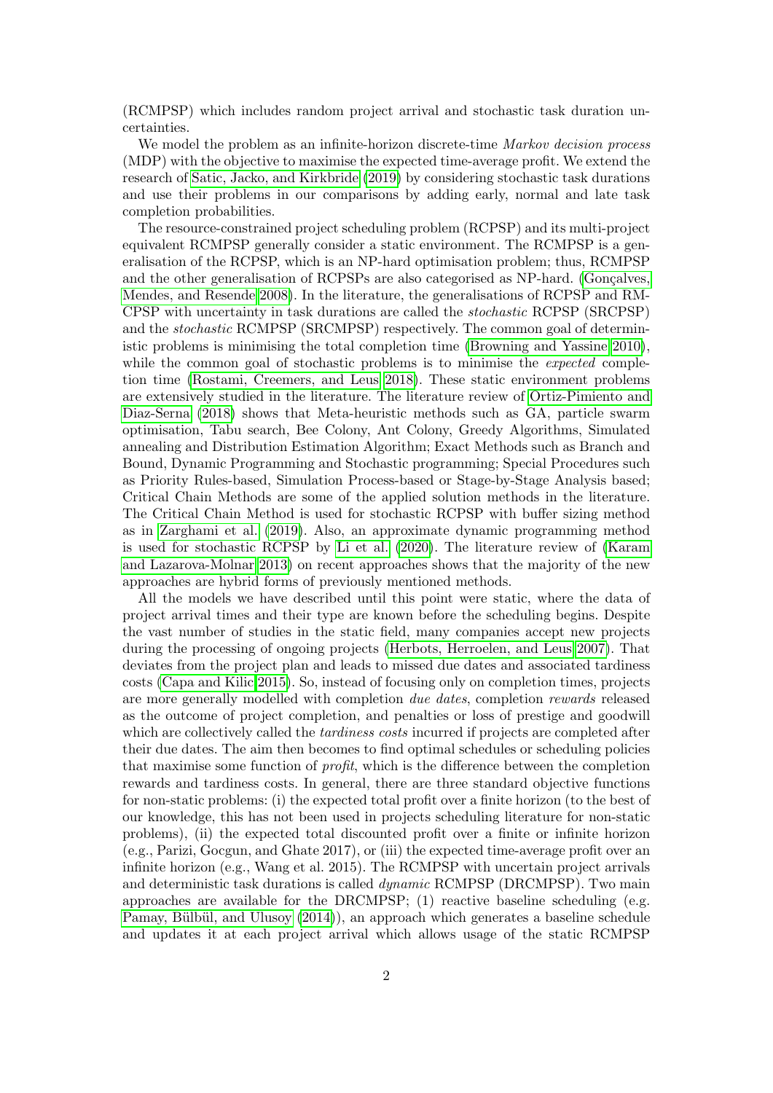(RCMPSP) which includes random project arrival and stochastic task duration uncertainties.

We model the problem as an infinite-horizon discrete-time *Markov decision process* (MDP) with the objective to maximise the expected time-average profit. We extend the research of [Satic, Jacko, and Kirkbride](#page-18-0) [\(2019\)](#page-18-0) by considering stochastic task durations and use their problems in our comparisons by adding early, normal and late task completion probabilities.

The resource-constrained project scheduling problem (RCPSP) and its multi-project equivalent RCMPSP generally consider a static environment. The RCMPSP is a generalisation of the RCPSP, which is an NP-hard optimisation problem; thus, RCMPSP and the other generalisation of RCPSPs are also categorised as NP-hard. (Goncalves, [Mendes, and Resende 2008\)](#page-17-1). In the literature, the generalisations of RCPSP and RM-CPSP with uncertainty in task durations are called the stochastic RCPSP (SRCPSP) and the stochastic RCMPSP (SRCMPSP) respectively. The common goal of deterministic problems is minimising the total completion time [\(Browning and Yassine 2010\)](#page-17-2), while the common goal of stochastic problems is to minimise the *expected* completion time [\(Rostami, Creemers, and Leus 2018\)](#page-18-1). These static environment problems are extensively studied in the literature. The literature review of [Ortiz-Pimiento and](#page-18-2) [Diaz-Serna](#page-18-2) [\(2018\)](#page-18-2) shows that Meta-heuristic methods such as GA, particle swarm optimisation, Tabu search, Bee Colony, Ant Colony, Greedy Algorithms, Simulated annealing and Distribution Estimation Algorithm; Exact Methods such as Branch and Bound, Dynamic Programming and Stochastic programming; Special Procedures such as Priority Rules-based, Simulation Process-based or Stage-by-Stage Analysis based; Critical Chain Methods are some of the applied solution methods in the literature. The Critical Chain Method is used for stochastic RCPSP with buffer sizing method as in [Zarghami et al.](#page-18-3) [\(2019\)](#page-18-3). Also, an approximate dynamic programming method is used for stochastic RCPSP by [Li et al.](#page-17-3) [\(2020\)](#page-17-3). The literature review of [\(Karam](#page-17-4) [and Lazarova-Molnar 2013\)](#page-17-4) on recent approaches shows that the majority of the new approaches are hybrid forms of previously mentioned methods.

All the models we have described until this point were static, where the data of project arrival times and their type are known before the scheduling begins. Despite the vast number of studies in the static field, many companies accept new projects during the processing of ongoing projects [\(Herbots, Herroelen, and Leus 2007\)](#page-17-5). That deviates from the project plan and leads to missed due dates and associated tardiness costs [\(Capa and Kilic 2015\)](#page-17-6). So, instead of focusing only on completion times, projects are more generally modelled with completion due dates, completion rewards released as the outcome of project completion, and penalties or loss of prestige and goodwill which are collectively called the *tardiness costs* incurred if projects are completed after their due dates. The aim then becomes to find optimal schedules or scheduling policies that maximise some function of profit, which is the difference between the completion rewards and tardiness costs. In general, there are three standard objective functions for non-static problems: (i) the expected total profit over a finite horizon (to the best of our knowledge, this has not been used in projects scheduling literature for non-static problems), (ii) the expected total discounted profit over a finite or infinite horizon (e.g., Parizi, Gocgun, and Ghate 2017), or (iii) the expected time-average profit over an infinite horizon (e.g., Wang et al. 2015). The RCMPSP with uncertain project arrivals and deterministic task durations is called dynamic RCMPSP (DRCMPSP). Two main approaches are available for the DRCMPSP; (1) reactive baseline scheduling (e.g. Pamay, Bülbül, and Ulusoy [\(2014\)](#page-18-4)), an approach which generates a baseline schedule and updates it at each project arrival which allows usage of the static RCMPSP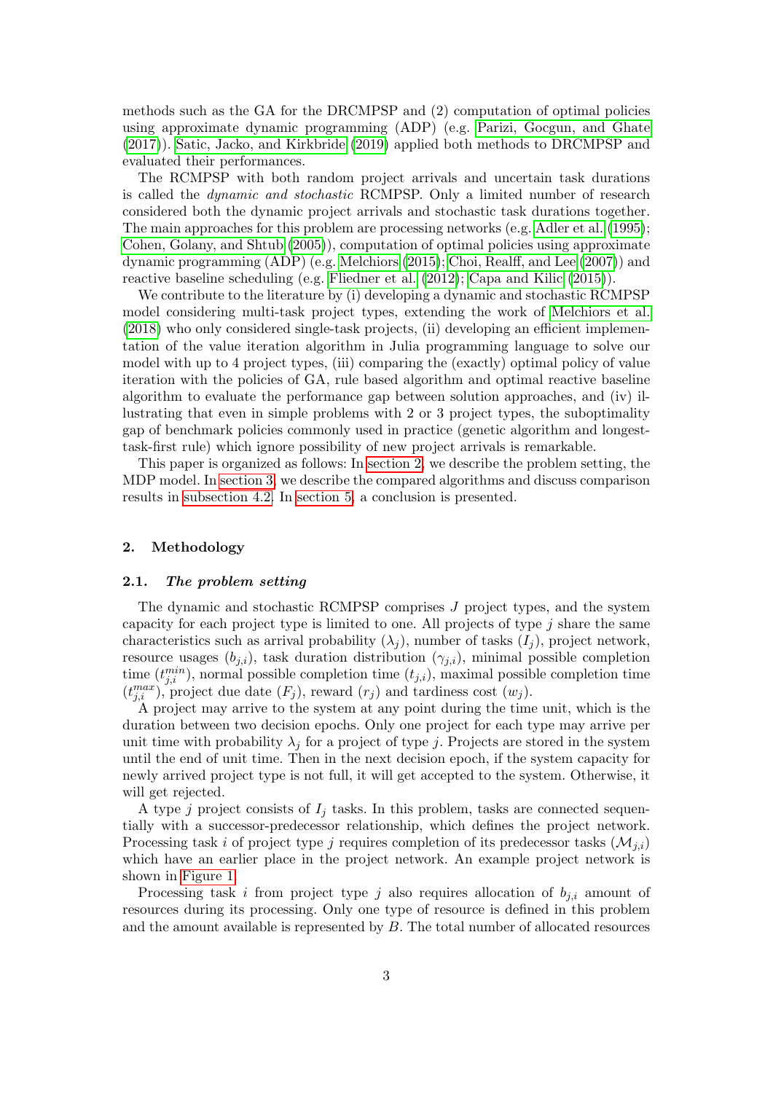methods such as the GA for the DRCMPSP and (2) computation of optimal policies using approximate dynamic programming (ADP) (e.g. [Parizi, Gocgun, and Ghate](#page-18-5) [\(2017\)](#page-18-5)). [Satic, Jacko, and Kirkbride](#page-18-0) [\(2019\)](#page-18-0) applied both methods to DRCMPSP and evaluated their performances.

The RCMPSP with both random project arrivals and uncertain task durations is called the dynamic and stochastic RCMPSP. Only a limited number of research considered both the dynamic project arrivals and stochastic task durations together. The main approaches for this problem are processing networks (e.g. [Adler et al.](#page-17-7) [\(1995\)](#page-17-7); [Cohen, Golany, and Shtub](#page-17-8) [\(2005\)](#page-17-8)), computation of optimal policies using approximate dynamic programming (ADP) (e.g. [Melchiors](#page-18-6) [\(2015\)](#page-18-6); [Choi, Realff, and Lee](#page-17-9) [\(2007\)](#page-17-9)) and reactive baseline scheduling (e.g. [Fliedner et al.](#page-17-10) [\(2012\)](#page-17-10); [Capa and Kilic](#page-17-6) [\(2015\)](#page-17-6)).

We contribute to the literature by (i) developing a dynamic and stochastic RCMPSP model considering multi-task project types, extending the work of [Melchiors et al.](#page-18-7) [\(2018\)](#page-18-7) who only considered single-task projects, (ii) developing an efficient implementation of the value iteration algorithm in Julia programming language to solve our model with up to 4 project types, (iii) comparing the (exactly) optimal policy of value iteration with the policies of GA, rule based algorithm and optimal reactive baseline algorithm to evaluate the performance gap between solution approaches, and (iv) illustrating that even in simple problems with 2 or 3 project types, the suboptimality gap of benchmark policies commonly used in practice (genetic algorithm and longesttask-first rule) which ignore possibility of new project arrivals is remarkable.

This paper is organized as follows: In [section 2,](#page-2-0) we describe the problem setting, the MDP model. In [section 3,](#page-9-0) we describe the compared algorithms and discuss comparison results in [subsection 4.2.](#page-15-0) In [section 5,](#page-16-0) a conclusion is presented.

# <span id="page-2-0"></span>2. Methodology

#### 2.1. The problem setting

The dynamic and stochastic RCMPSP comprises J project types, and the system capacity for each project type is limited to one. All projects of type  $j$  share the same characteristics such as arrival probability  $(\lambda_j)$ , number of tasks  $(I_j)$ , project network, resource usages  $(b_{j,i})$ , task duration distribution  $(\gamma_{j,i})$ , minimal possible completion time  $(t_{j,i}^{min})$ , normal possible completion time  $(t_{j,i})$ , maximal possible completion time  $(t_{j,i}^{max})$ , project due date  $(F_j)$ , reward  $(r_j)$  and tardiness cost  $(w_j)$ .

A project may arrive to the system at any point during the time unit, which is the duration between two decision epochs. Only one project for each type may arrive per unit time with probability  $\lambda_i$  for a project of type j. Projects are stored in the system until the end of unit time. Then in the next decision epoch, if the system capacity for newly arrived project type is not full, it will get accepted to the system. Otherwise, it will get rejected.

A type j project consists of  $I_j$  tasks. In this problem, tasks are connected sequentially with a successor-predecessor relationship, which defines the project network. Processing task i of project type j requires completion of its predecessor tasks  $(\mathcal{M}_{i,i})$ which have an earlier place in the project network. An example project network is shown in [Figure 1.](#page-3-0)

Processing task i from project type j also requires allocation of  $b_{i,i}$  amount of resources during its processing. Only one type of resource is defined in this problem and the amount available is represented by  $B$ . The total number of allocated resources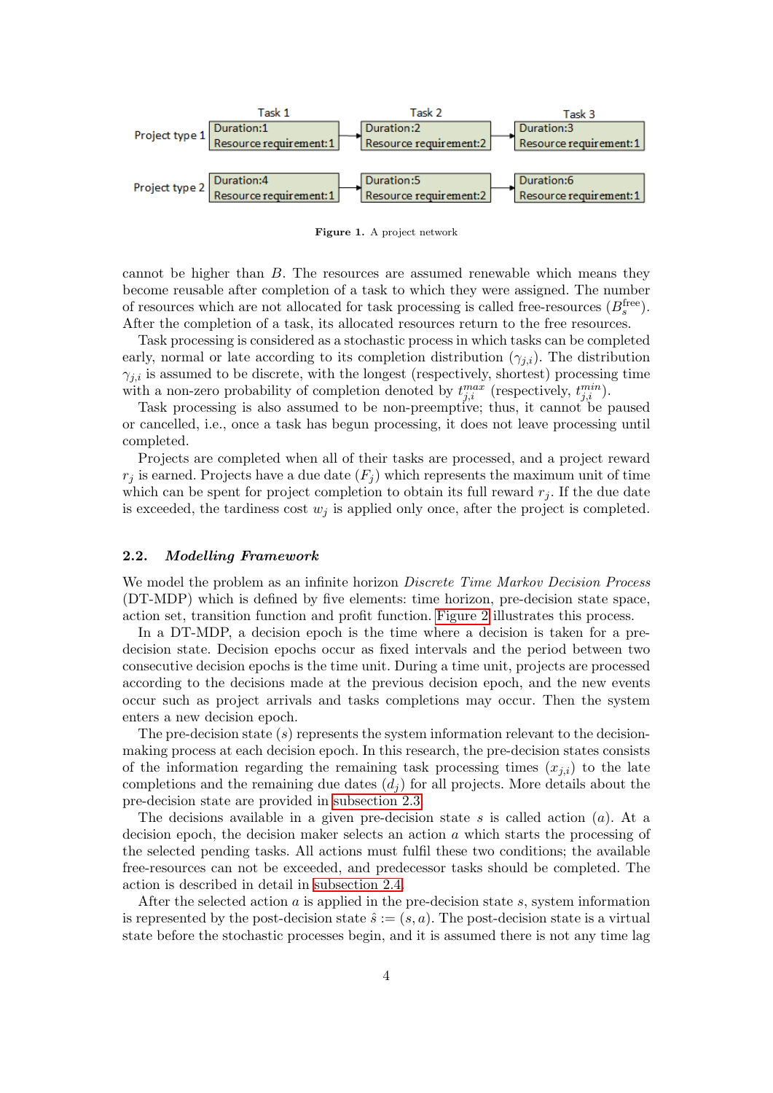

<span id="page-3-0"></span>Figure 1. A project network

cannot be higher than B. The resources are assumed renewable which means they become reusable after completion of a task to which they were assigned. The number of resources which are not allocated for task processing is called free-resources  $(B_s^{\text{free}})$ . After the completion of a task, its allocated resources return to the free resources.

Task processing is considered as a stochastic process in which tasks can be completed early, normal or late according to its completion distribution  $(\gamma_{j,i})$ . The distribution  $\gamma_{j,i}$  is assumed to be discrete, with the longest (respectively, shortest) processing time with a non-zero probability of completion denoted by  $t_{j,i}^{max}$  (respectively,  $t_{j,i}^{min}$ ).

Task processing is also assumed to be non-preemptive; thus, it cannot be paused or cancelled, i.e., once a task has begun processing, it does not leave processing until completed.

Projects are completed when all of their tasks are processed, and a project reward  $r_i$  is earned. Projects have a due date  $(F_i)$  which represents the maximum unit of time which can be spent for project completion to obtain its full reward  $r_j$ . If the due date is exceeded, the tardiness cost  $w_i$  is applied only once, after the project is completed.

#### 2.2. Modelling Framework

We model the problem as an infinite horizon *Discrete Time Markov Decision Process* (DT-MDP) which is defined by five elements: time horizon, pre-decision state space, action set, transition function and profit function. [Figure 2](#page-4-0) illustrates this process.

In a DT-MDP, a decision epoch is the time where a decision is taken for a predecision state. Decision epochs occur as fixed intervals and the period between two consecutive decision epochs is the time unit. During a time unit, projects are processed according to the decisions made at the previous decision epoch, and the new events occur such as project arrivals and tasks completions may occur. Then the system enters a new decision epoch.

The pre-decision state  $(s)$  represents the system information relevant to the decisionmaking process at each decision epoch. In this research, the pre-decision states consists of the information regarding the remaining task processing times  $(x_{i,i})$  to the late completions and the remaining due dates  $(d_i)$  for all projects. More details about the pre-decision state are provided in [subsection 2.3.](#page-4-1)

The decisions available in a given pre-decision state s is called action  $(a)$ . At a decision epoch, the decision maker selects an action a which starts the processing of the selected pending tasks. All actions must fulfil these two conditions; the available free-resources can not be exceeded, and predecessor tasks should be completed. The action is described in detail in [subsection 2.4.](#page-6-0)

After the selected action  $a$  is applied in the pre-decision state  $s$ , system information is represented by the post-decision state  $\hat{s} := (s, a)$ . The post-decision state is a virtual state before the stochastic processes begin, and it is assumed there is not any time lag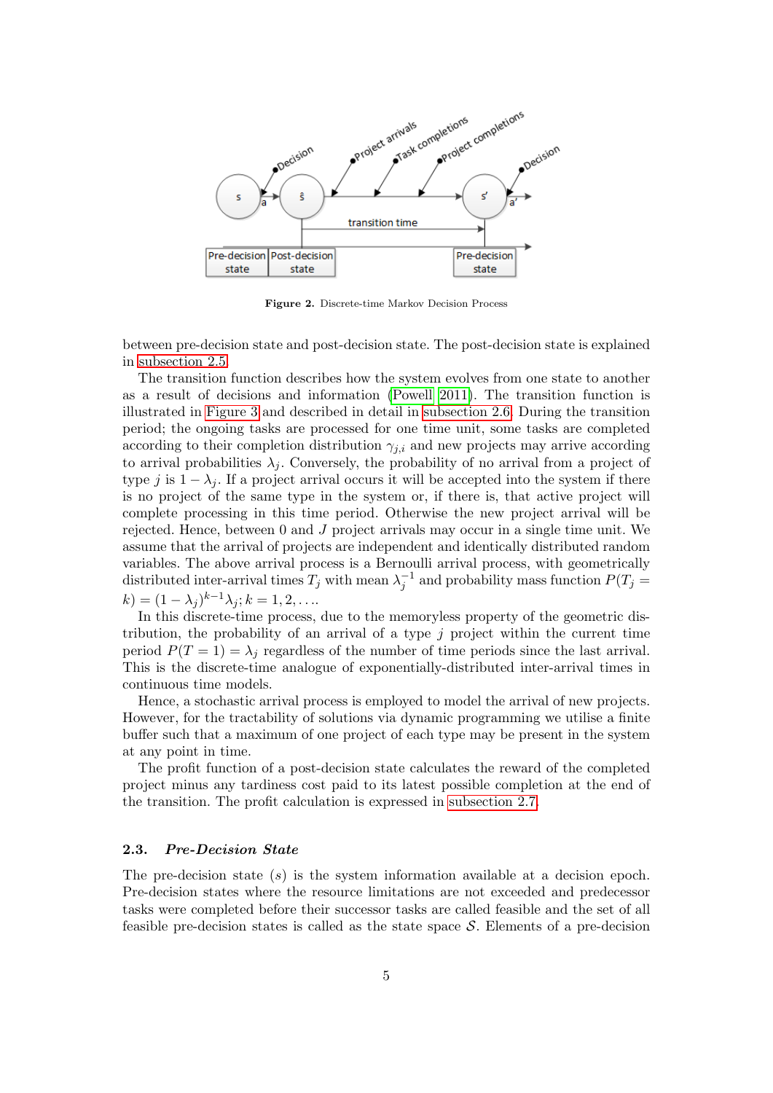

<span id="page-4-0"></span>Figure 2. Discrete-time Markov Decision Process

between pre-decision state and post-decision state. The post-decision state is explained in [subsection 2.5.](#page-6-1)

The transition function describes how the system evolves from one state to another as a result of decisions and information [\(Powell 2011\)](#page-18-8). The transition function is illustrated in [Figure 3](#page-7-0) and described in detail in [subsection 2.6.](#page-7-1) During the transition period; the ongoing tasks are processed for one time unit, some tasks are completed according to their completion distribution  $\gamma_{i,i}$  and new projects may arrive according to arrival probabilities  $\lambda_i$ . Conversely, the probability of no arrival from a project of type j is  $1 - \lambda_i$ . If a project arrival occurs it will be accepted into the system if there is no project of the same type in the system or, if there is, that active project will complete processing in this time period. Otherwise the new project arrival will be rejected. Hence, between 0 and J project arrivals may occur in a single time unit. We assume that the arrival of projects are independent and identically distributed random variables. The above arrival process is a Bernoulli arrival process, with geometrically distributed inter-arrival times  $T_j$  with mean  $\lambda_j^{-1}$  and probability mass function  $P(T_j =$  $(k) = (1 - \lambda_j)^{k-1} \lambda_j; k = 1, 2, \dots$ 

In this discrete-time process, due to the memoryless property of the geometric distribution, the probability of an arrival of a type  $j$  project within the current time period  $P(T = 1) = \lambda_i$  regardless of the number of time periods since the last arrival. This is the discrete-time analogue of exponentially-distributed inter-arrival times in continuous time models.

Hence, a stochastic arrival process is employed to model the arrival of new projects. However, for the tractability of solutions via dynamic programming we utilise a finite buffer such that a maximum of one project of each type may be present in the system at any point in time.

The profit function of a post-decision state calculates the reward of the completed project minus any tardiness cost paid to its latest possible completion at the end of the transition. The profit calculation is expressed in [subsection 2.7.](#page-8-0)

## <span id="page-4-1"></span>2.3. Pre-Decision State

The pre-decision state  $(s)$  is the system information available at a decision epoch. Pre-decision states where the resource limitations are not exceeded and predecessor tasks were completed before their successor tasks are called feasible and the set of all feasible pre-decision states is called as the state space  $S$ . Elements of a pre-decision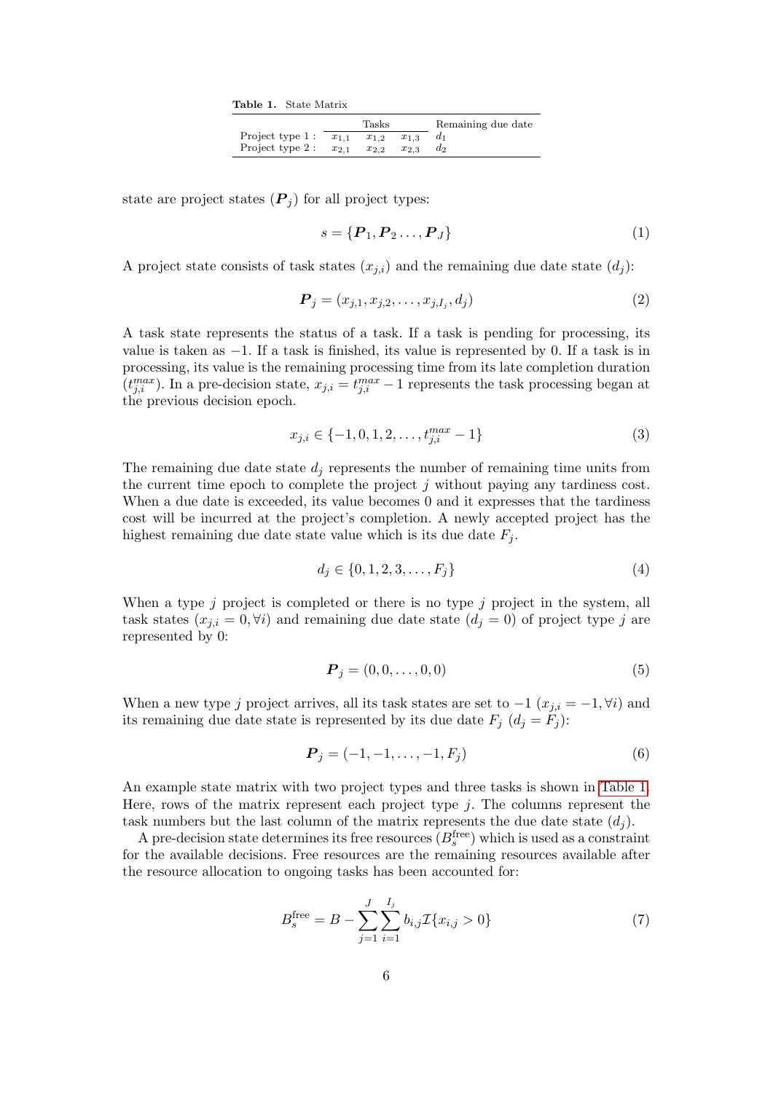<span id="page-5-0"></span>Table 1. State Matrix

|                           |           | Tasks     |           | Remaining due date |
|---------------------------|-----------|-----------|-----------|--------------------|
| Project type $1: x_{1,1}$ |           | $x_{1,2}$ | $x_{1,3}$ |                    |
| Project type 2 :          | $x_{2.1}$ | $x_{2,2}$ | $x_{2,3}$ | dэ                 |

state are project states  $(P_i)$  for all project types:

$$
s = {\boldsymbol{P}_1, \boldsymbol{P}_2 \dots, \boldsymbol{P}_J}
$$
 (1)

A project state consists of task states  $(x_{i,i})$  and the remaining due date state  $(d_i)$ :

$$
\boldsymbol{P}_j = (x_{j,1}, x_{j,2}, \dots, x_{j,I_j}, d_j) \tag{2}
$$

A task state represents the status of a task. If a task is pending for processing, its value is taken as  $-1$ . If a task is finished, its value is represented by 0. If a task is in processing, its value is the remaining processing time from its late completion duration  $(t_{j,i}^{max})$ . In a pre-decision state,  $x_{j,i} = t_{j,i}^{max} - 1$  represents the task processing began at the previous decision epoch.

$$
x_{j,i} \in \{-1, 0, 1, 2, \dots, t_{j,i}^{max} - 1\}
$$
\n
$$
(3)
$$

The remaining due date state  $d_i$  represents the number of remaining time units from the current time epoch to complete the project j without paying any tardiness cost. When a due date is exceeded, its value becomes 0 and it expresses that the tardiness cost will be incurred at the project's completion. A newly accepted project has the highest remaining due date state value which is its due date  $F_i$ .

$$
d_j \in \{0, 1, 2, 3, \dots, F_j\} \tag{4}
$$

When a type  $j$  project is completed or there is no type  $j$  project in the system, all task states  $(x_{j,i} = 0, \forall i)$  and remaining due date state  $(d_j = 0)$  of project type j are represented by 0:

$$
\boldsymbol{P}_j = (0, 0, \dots, 0, 0) \tag{5}
$$

When a new type j project arrives, all its task states are set to  $-1$   $(x_{j,i} = -1, \forall i)$  and its remaining due date state is represented by its due date  $F_j$   $(d_j = F_j)$ :

$$
\boldsymbol{P}_j = (-1, -1, \dots, -1, F_j) \tag{6}
$$

An example state matrix with two project types and three tasks is shown in [Table 1.](#page-5-0) Here, rows of the matrix represent each project type  $j$ . The columns represent the task numbers but the last column of the matrix represents the due date state  $(d_i)$ .

A pre-decision state determines its free resources  $(B_s^{\text{free}})$  which is used as a constraint for the available decisions. Free resources are the remaining resources available after the resource allocation to ongoing tasks has been accounted for:

$$
B_s^{\text{free}} = B - \sum_{j=1}^{J} \sum_{i=1}^{I_j} b_{i,j} \mathcal{I} \{ x_{i,j} > 0 \}
$$
 (7)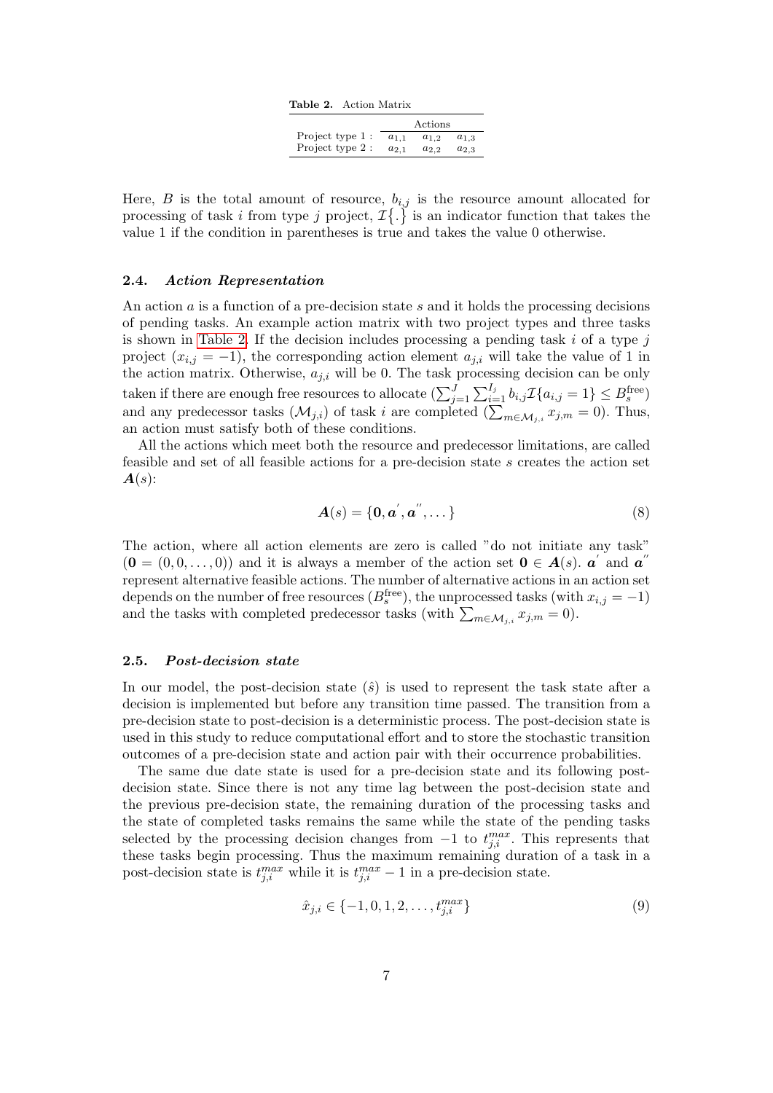<span id="page-6-2"></span>

|                  |           | Actions   |           |
|------------------|-----------|-----------|-----------|
| Project type 1 : | $a_{1,1}$ | $a_{1,2}$ | $a_{1,3}$ |
| Project type 2 : | $a_{2,1}$ | $a_{2.2}$ | $a_{2,3}$ |

Here,  $B$  is the total amount of resource,  $b_{i,j}$  is the resource amount allocated for processing of task i from type j project,  $\mathcal{I}\{\cdot\}$  is an indicator function that takes the value 1 if the condition in parentheses is true and takes the value 0 otherwise.

## <span id="page-6-0"></span>2.4. Action Representation

An action a is a function of a pre-decision state s and it holds the processing decisions of pending tasks. An example action matrix with two project types and three tasks is shown in [Table 2.](#page-6-2) If the decision includes processing a pending task  $i$  of a type  $j$ project  $(x_{i,j} = -1)$ , the corresponding action element  $a_{j,i}$  will take the value of 1 in the action matrix. Otherwise,  $a_{j,i}$  will be 0. The task processing decision can be only taken if there are enough free resources to allocate  $(\sum_{j=1}^{J}\sum_{i=1}^{I_j} b_{i,j} \mathcal{I}\{a_{i,j} = 1\} \leq B_s^{\text{free}})$ and any predecessor tasks  $(\mathcal{M}_{j,i})$  of task i are completed  $(\sum_{m\in\mathcal{M}_{j,i}} x_{j,m} = 0)$ . Thus, an action must satisfy both of these conditions.

All the actions which meet both the resource and predecessor limitations, are called feasible and set of all feasible actions for a pre-decision state s creates the action set  $A(s)$ :

$$
\mathbf{A}(s) = \{\mathbf{0}, \mathbf{a}', \mathbf{a}'', \dots\}
$$
 (8)

The action, where all action elements are zero is called "do not initiate any task"  $(0 = (0, 0, \ldots, 0))$  and it is always a member of the action set  $0 \in A(s)$ .  $a'$  and  $a''$ represent alternative feasible actions. The number of alternative actions in an action set depends on the number of free resources  $(B_s^{\text{free}})$ , the unprocessed tasks (with  $x_{i,j} = -1$ ) and the tasks with completed predecessor tasks (with  $\sum_{m \in \mathcal{M}_{j,i}} x_{j,m} = 0$ ).

#### <span id="page-6-1"></span>2.5. Post-decision state

In our model, the post-decision state  $(\hat{s})$  is used to represent the task state after a decision is implemented but before any transition time passed. The transition from a pre-decision state to post-decision is a deterministic process. The post-decision state is used in this study to reduce computational effort and to store the stochastic transition outcomes of a pre-decision state and action pair with their occurrence probabilities.

The same due date state is used for a pre-decision state and its following postdecision state. Since there is not any time lag between the post-decision state and the previous pre-decision state, the remaining duration of the processing tasks and the state of completed tasks remains the same while the state of the pending tasks selected by the processing decision changes from  $-1$  to  $t_{j,i}^{max}$ . This represents that these tasks begin processing. Thus the maximum remaining duration of a task in a post-decision state is  $t_{j,i}^{max}$  while it is  $t_{j,i}^{max} - 1$  in a pre-decision state.

$$
\hat{x}_{j,i} \in \{-1, 0, 1, 2, \dots, t_{j,i}^{max}\}\tag{9}
$$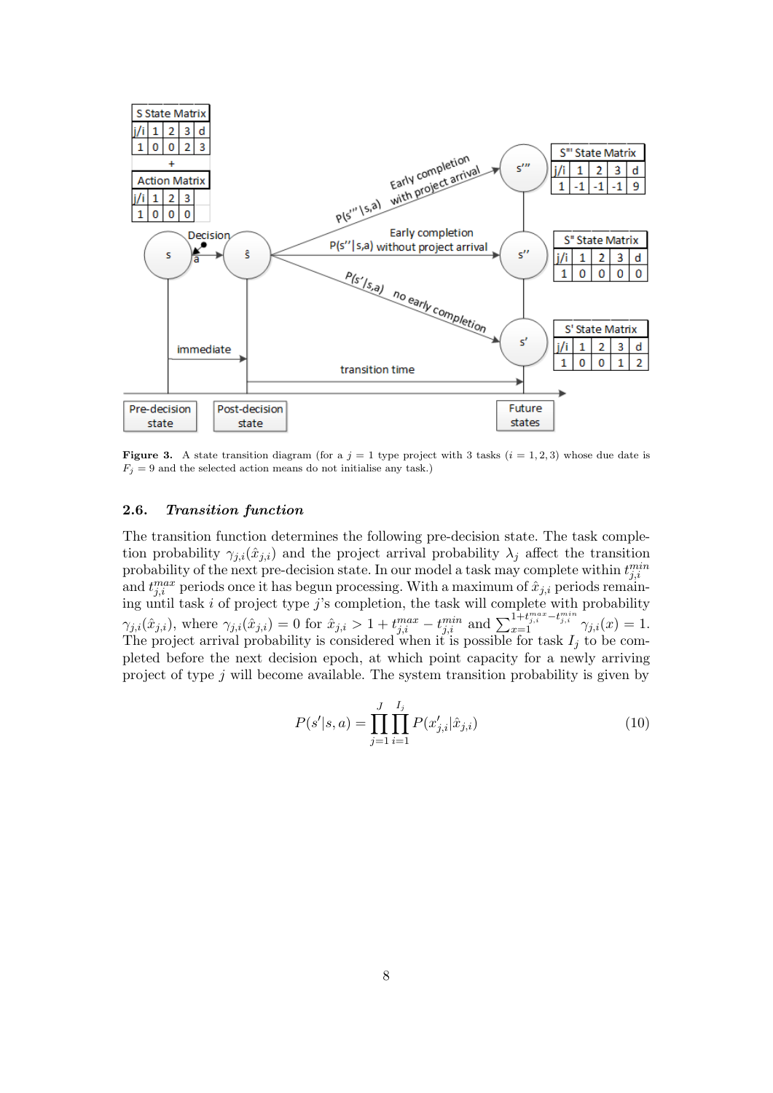

<span id="page-7-0"></span>**Figure 3.** A state transition diagram (for a  $j = 1$  type project with 3 tasks  $(i = 1, 2, 3)$  whose due date is  $F_j = 9$  and the selected action means do not initialise any task.)

# <span id="page-7-1"></span>2.6. Transition function

The transition function determines the following pre-decision state. The task completion probability  $\gamma_{j,i}(\hat{x}_{j,i})$  and the project arrival probability  $\lambda_j$  affect the transition probability of the next pre-decision state. In our model a task may complete within  $t_{j,i}^{min}$ and  $t_{j,i}^{max}$  periods once it has begun processing. With a maximum of  $\hat{x}_{j,i}$  periods remaining until task  $i$  of project type  $j$ 's completion, the task will complete with probability  $\gamma_{j,i}(\hat{x}_{j,i}),$  where  $\gamma_{j,i}(\hat{x}_{j,i}) = 0$  for  $\hat{x}_{j,i} > 1 + t_{j,i}^{max} - t_{j,i}^{min}$  and  $\sum_{x=1}^{1+t_{j,i}^{max} - t_{j,i}^{min}} \gamma_{j,i}(x) = 1$ . The project arrival probability is considered when it is possible for task  $I_j$  to be completed before the next decision epoch, at which point capacity for a newly arriving project of type j will become available. The system transition probability is given by

$$
P(s'|s, a) = \prod_{j=1}^{J} \prod_{i=1}^{I_j} P(x'_{j,i} | \hat{x}_{j,i})
$$
\n(10)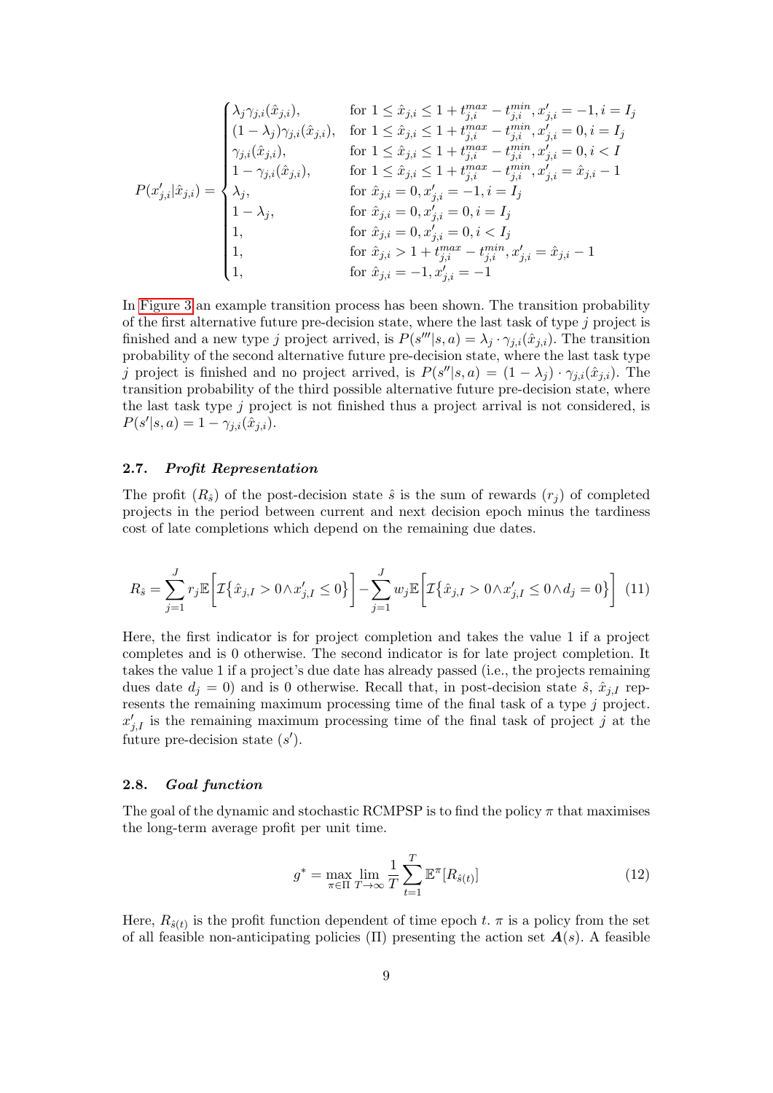$$
P(x'_{j,i}|\hat{x}_{j,i}) = \begin{cases} \lambda_j \gamma_{j,i}(\hat{x}_{j,i}), & \text{for } 1 \le \hat{x}_{j,i} \le 1 + t_{j,i}^{max} - t_{j,i}^{min}, x'_{j,i} = -1, i = I_j \\ (1 - \lambda_j) \gamma_{j,i}(\hat{x}_{j,i}), & \text{for } 1 \le \hat{x}_{j,i} \le 1 + t_{j,i}^{max} - t_{j,i}^{min}, x'_{j,i} = 0, i = I_j \\ \gamma_{j,i}(\hat{x}_{j,i}), & \text{for } 1 \le \hat{x}_{j,i} \le 1 + t_{j,i}^{max} - t_{j,i}^{min}, x'_{j,i} = 0, i < I \\ 1 - \gamma_{j,i}(\hat{x}_{j,i}), & \text{for } 1 \le \hat{x}_{j,i} \le 1 + t_{j,i}^{max} - t_{j,i}^{min}, x'_{j,i} = \hat{x}_{j,i} - 1 \\ \lambda_j, & \text{for } \hat{x}_{j,i} = 0, x'_{j,i} = -1, i = I_j \\ 1 - \lambda_j, & \text{for } \hat{x}_{j,i} = 0, x'_{j,i} = 0, i < I_j \\ 1, & \text{for } \hat{x}_{j,i} > 1 + t_{j,i}^{max} - t_{j,i}^{min}, x'_{j,i} = \hat{x}_{j,i} - 1 \\ 1, & \text{for } \hat{x}_{j,i} = -1, x'_{j,i} = -1 \\ \end{cases}
$$

In [Figure 3](#page-7-0) an example transition process has been shown. The transition probability of the first alternative future pre-decision state, where the last task of type  $j$  project is finished and a new type j project arrived, is  $P(s'''|s, a) = \lambda_j \cdot \gamma_{j,i}(\hat{x}_{j,i})$ . The transition probability of the second alternative future pre-decision state, where the last task type j project is finished and no project arrived, is  $P(s''|s, a) = (1 - \lambda_j) \cdot \gamma_{j,i}(\hat{x}_{j,i})$ . The transition probability of the third possible alternative future pre-decision state, where the last task type j project is not finished thus a project arrival is not considered, is  $P(s'|s, a) = 1 - \gamma_{j,i}(\hat{x}_{j,i}).$ 

## <span id="page-8-0"></span>2.7. Profit Representation

The profit  $(R_{\hat{s}})$  of the post-decision state  $\hat{s}$  is the sum of rewards  $(r_i)$  of completed projects in the period between current and next decision epoch minus the tardiness cost of late completions which depend on the remaining due dates.

$$
R_{\hat{s}} = \sum_{j=1}^{J} r_j \mathbb{E} \bigg[ \mathcal{I} \{\hat{x}_{j,I} > 0 \land x'_{j,I} \le 0 \} \bigg] - \sum_{j=1}^{J} w_j \mathbb{E} \bigg[ \mathcal{I} \{\hat{x}_{j,I} > 0 \land x'_{j,I} \le 0 \land d_j = 0 \} \bigg] \tag{11}
$$

Here, the first indicator is for project completion and takes the value 1 if a project completes and is 0 otherwise. The second indicator is for late project completion. It takes the value 1 if a project's due date has already passed (i.e., the projects remaining dues date  $d_i = 0$ ) and is 0 otherwise. Recall that, in post-decision state  $\hat{s}$ ,  $\hat{x}_{i,I}$  represents the remaining maximum processing time of the final task of a type j project.  $x'_{j,I}$  is the remaining maximum processing time of the final task of project j at the future pre-decision state  $(s')$ .

#### 2.8. Goal function

The goal of the dynamic and stochastic RCMPSP is to find the policy  $\pi$  that maximises the long-term average profit per unit time.

$$
g^* = \max_{\pi \in \Pi} \lim_{T \to \infty} \frac{1}{T} \sum_{t=1}^T \mathbb{E}^\pi [R_{\hat{s}(t)}]
$$
(12)

Here,  $R_{\hat{s}(t)}$  is the profit function dependent of time epoch t.  $\pi$  is a policy from the set of all feasible non-anticipating policies (Π) presenting the action set  $A(s)$ . A feasible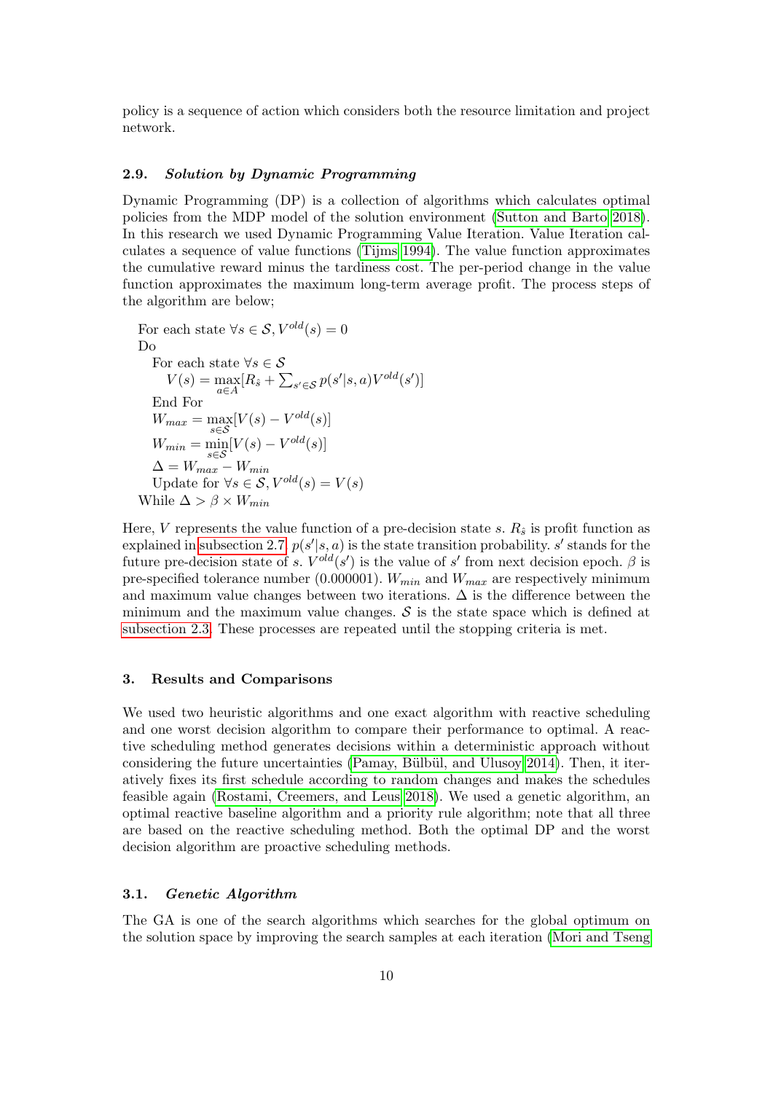policy is a sequence of action which considers both the resource limitation and project network.

### <span id="page-9-1"></span>2.9. Solution by Dynamic Programming

Dynamic Programming (DP) is a collection of algorithms which calculates optimal policies from the MDP model of the solution environment [\(Sutton and Barto 2018\)](#page-18-9). In this research we used Dynamic Programming Value Iteration. Value Iteration calculates a sequence of value functions [\(Tijms 1994\)](#page-18-10). The value function approximates the cumulative reward minus the tardiness cost. The per-period change in the value function approximates the maximum long-term average profit. The process steps of the algorithm are below;

For each state  $\forall s \in \mathcal{S}, V^{old}(s) = 0$ Do For each state  $\forall s \in \mathcal{S}$  $V(s) = \max_{a \in A} [R_{\hat{s}} + \sum_{s' \in S} p(s'|s, a)V^{old}(s')]$ End For  $W_{max} = \max_{s \in \mathcal{S}} [V(s) - V^{old}(s)]$  $W_{min} = \min_{s \in \mathcal{S}} [V(s) - V^{old}(s)]$  $\Delta = W_{max} - W_{min}$ Update for  $\forall s \in S, V^{old}(s) = V(s)$ While  $\Delta > \beta \times W_{min}$ 

Here, V represents the value function of a pre-decision state s.  $R_{\hat{s}}$  is profit function as explained in [subsection 2.7.](#page-8-0)  $p(s'|s, a)$  is the state transition probability. s' stands for the future pre-decision state of s.  $V^{old}(s')$  is the value of s' from next decision epoch.  $\beta$  is pre-specified tolerance number (0.000001).  $W_{min}$  and  $W_{max}$  are respectively minimum and maximum value changes between two iterations.  $\Delta$  is the difference between the minimum and the maximum value changes.  $\mathcal S$  is the state space which is defined at [subsection 2.3.](#page-4-1) These processes are repeated until the stopping criteria is met.

## <span id="page-9-0"></span>3. Results and Comparisons

We used two heuristic algorithms and one exact algorithm with reactive scheduling and one worst decision algorithm to compare their performance to optimal. A reactive scheduling method generates decisions within a deterministic approach without considering the future uncertainties (Pamay, Bülbül, and Ulusoy 2014). Then, it iteratively fixes its first schedule according to random changes and makes the schedules feasible again [\(Rostami, Creemers, and Leus 2018\)](#page-18-1). We used a genetic algorithm, an optimal reactive baseline algorithm and a priority rule algorithm; note that all three are based on the reactive scheduling method. Both the optimal DP and the worst decision algorithm are proactive scheduling methods.

#### 3.1. Genetic Algorithm

The GA is one of the search algorithms which searches for the global optimum on the solution space by improving the search samples at each iteration [\(Mori and Tseng](#page-18-11)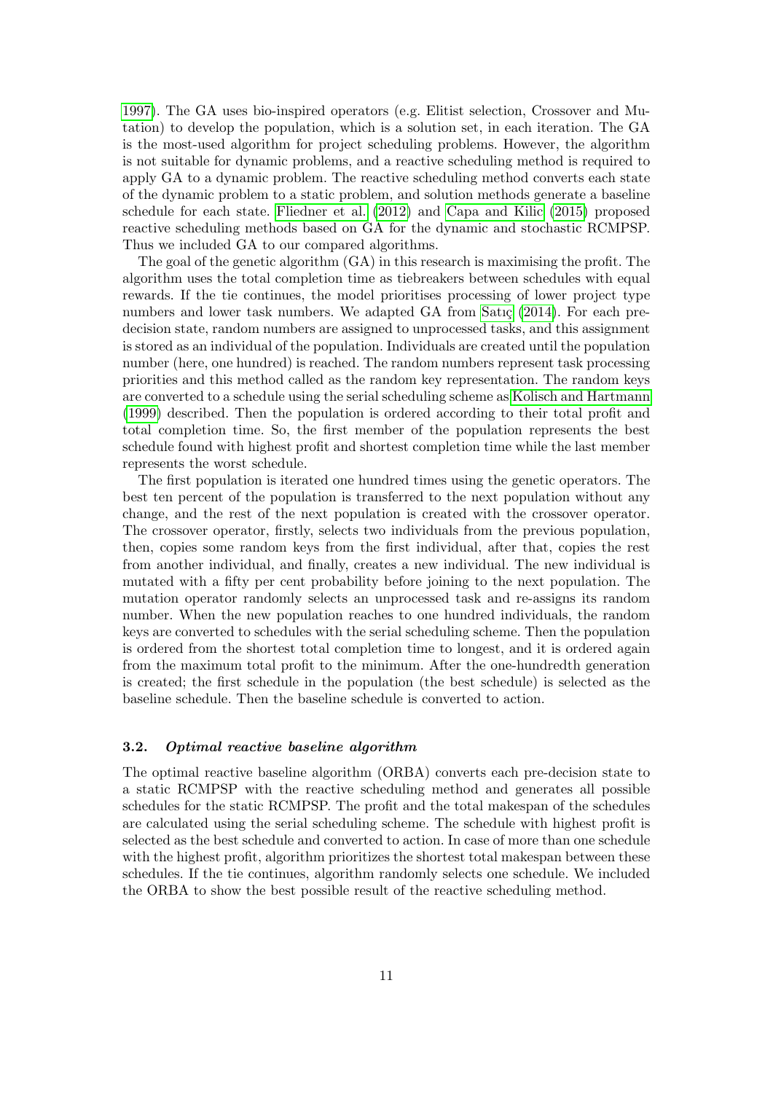[1997\)](#page-18-11). The GA uses bio-inspired operators (e.g. Elitist selection, Crossover and Mutation) to develop the population, which is a solution set, in each iteration. The GA is the most-used algorithm for project scheduling problems. However, the algorithm is not suitable for dynamic problems, and a reactive scheduling method is required to apply GA to a dynamic problem. The reactive scheduling method converts each state of the dynamic problem to a static problem, and solution methods generate a baseline schedule for each state. [Fliedner et al.](#page-17-10) [\(2012\)](#page-17-10) and [Capa and Kilic](#page-17-6) [\(2015\)](#page-17-6) proposed reactive scheduling methods based on GA for the dynamic and stochastic RCMPSP. Thus we included GA to our compared algorithms.

The goal of the genetic algorithm (GA) in this research is maximising the profit. The algorithm uses the total completion time as tiebreakers between schedules with equal rewards. If the tie continues, the model prioritises processing of lower project type numbers and lower task numbers. We adapted GA from Satic  $(2014)$ . For each predecision state, random numbers are assigned to unprocessed tasks, and this assignment is stored as an individual of the population. Individuals are created until the population number (here, one hundred) is reached. The random numbers represent task processing priorities and this method called as the random key representation. The random keys are converted to a schedule using the serial scheduling scheme as [Kolisch and Hartmann](#page-17-11) [\(1999\)](#page-17-11) described. Then the population is ordered according to their total profit and total completion time. So, the first member of the population represents the best schedule found with highest profit and shortest completion time while the last member represents the worst schedule.

The first population is iterated one hundred times using the genetic operators. The best ten percent of the population is transferred to the next population without any change, and the rest of the next population is created with the crossover operator. The crossover operator, firstly, selects two individuals from the previous population, then, copies some random keys from the first individual, after that, copies the rest from another individual, and finally, creates a new individual. The new individual is mutated with a fifty per cent probability before joining to the next population. The mutation operator randomly selects an unprocessed task and re-assigns its random number. When the new population reaches to one hundred individuals, the random keys are converted to schedules with the serial scheduling scheme. Then the population is ordered from the shortest total completion time to longest, and it is ordered again from the maximum total profit to the minimum. After the one-hundredth generation is created; the first schedule in the population (the best schedule) is selected as the baseline schedule. Then the baseline schedule is converted to action.

## 3.2. Optimal reactive baseline algorithm

The optimal reactive baseline algorithm (ORBA) converts each pre-decision state to a static RCMPSP with the reactive scheduling method and generates all possible schedules for the static RCMPSP. The profit and the total makespan of the schedules are calculated using the serial scheduling scheme. The schedule with highest profit is selected as the best schedule and converted to action. In case of more than one schedule with the highest profit, algorithm prioritizes the shortest total makespan between these schedules. If the tie continues, algorithm randomly selects one schedule. We included the ORBA to show the best possible result of the reactive scheduling method.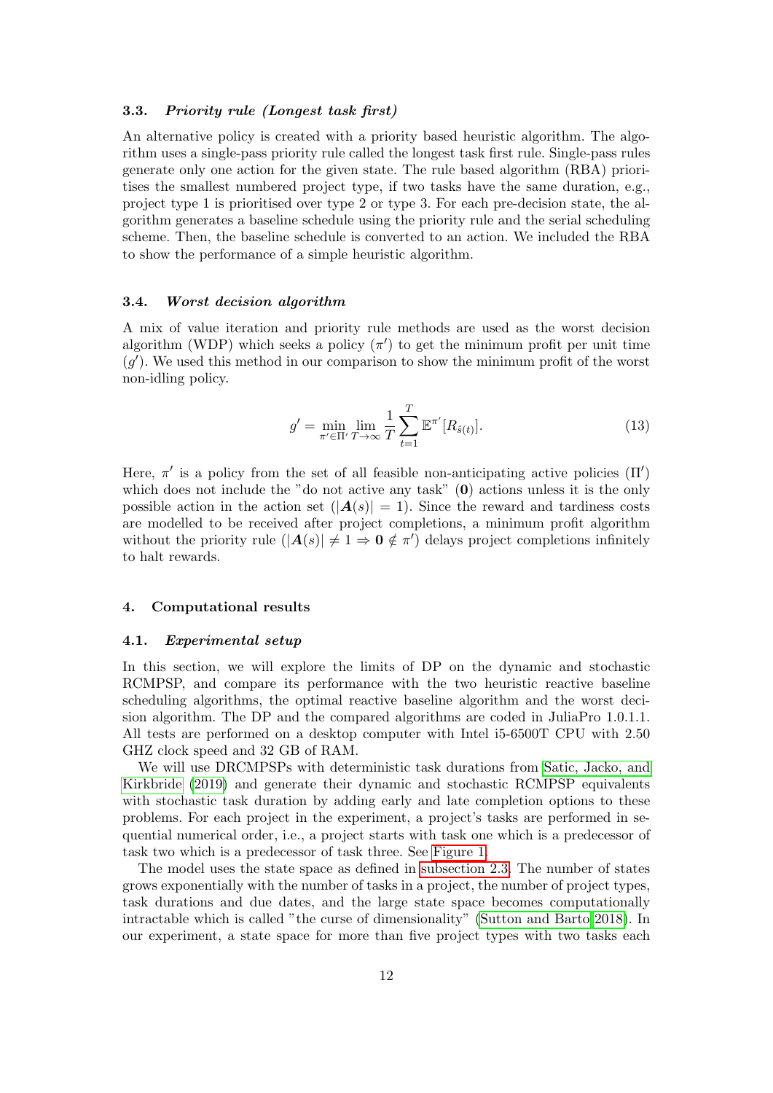# 3.3. Priority rule (Longest task first)

An alternative policy is created with a priority based heuristic algorithm. The algorithm uses a single-pass priority rule called the longest task first rule. Single-pass rules generate only one action for the given state. The rule based algorithm (RBA) prioritises the smallest numbered project type, if two tasks have the same duration, e.g., project type 1 is prioritised over type 2 or type 3. For each pre-decision state, the algorithm generates a baseline schedule using the priority rule and the serial scheduling scheme. Then, the baseline schedule is converted to an action. We included the RBA to show the performance of a simple heuristic algorithm.

#### 3.4. Worst decision algorithm

A mix of value iteration and priority rule methods are used as the worst decision algorithm (WDP) which seeks a policy  $(\pi')$  to get the minimum profit per unit time  $(g')$ . We used this method in our comparison to show the minimum profit of the worst non-idling policy.

$$
g' = \min_{\pi' \in \Pi'} \lim_{T \to \infty} \frac{1}{T} \sum_{t=1}^{T} \mathbb{E}^{\pi'}[R_{\hat{s}(t)}].
$$
\n(13)

Here,  $\pi'$  is a policy from the set of all feasible non-anticipating active policies  $(\Pi')$ which does not include the "do not active any task"  $(0)$  actions unless it is the only possible action in the action set  $(|A(s)| = 1)$ . Since the reward and tardiness costs are modelled to be received after project completions, a minimum profit algorithm without the priority rule  $(|A(s)| \neq 1 \Rightarrow 0 \notin \pi')$  delays project completions infinitely to halt rewards.

#### <span id="page-11-0"></span>4. Computational results

#### 4.1. Experimental setup

In this section, we will explore the limits of DP on the dynamic and stochastic RCMPSP, and compare its performance with the two heuristic reactive baseline scheduling algorithms, the optimal reactive baseline algorithm and the worst decision algorithm. The DP and the compared algorithms are coded in JuliaPro 1.0.1.1. All tests are performed on a desktop computer with Intel i5-6500T CPU with 2.50 GHZ clock speed and 32 GB of RAM.

We will use DRCMPSPs with deterministic task durations from [Satic, Jacko, and](#page-18-0) [Kirkbride](#page-18-0) [\(2019\)](#page-18-0) and generate their dynamic and stochastic RCMPSP equivalents with stochastic task duration by adding early and late completion options to these problems. For each project in the experiment, a project's tasks are performed in sequential numerical order, i.e., a project starts with task one which is a predecessor of task two which is a predecessor of task three. See [Figure 1.](#page-3-0)

The model uses the state space as defined in [subsection 2.3.](#page-4-1) The number of states grows exponentially with the number of tasks in a project, the number of project types, task durations and due dates, and the large state space becomes computationally intractable which is called "the curse of dimensionality" [\(Sutton and Barto 2018\)](#page-18-9). In our experiment, a state space for more than five project types with two tasks each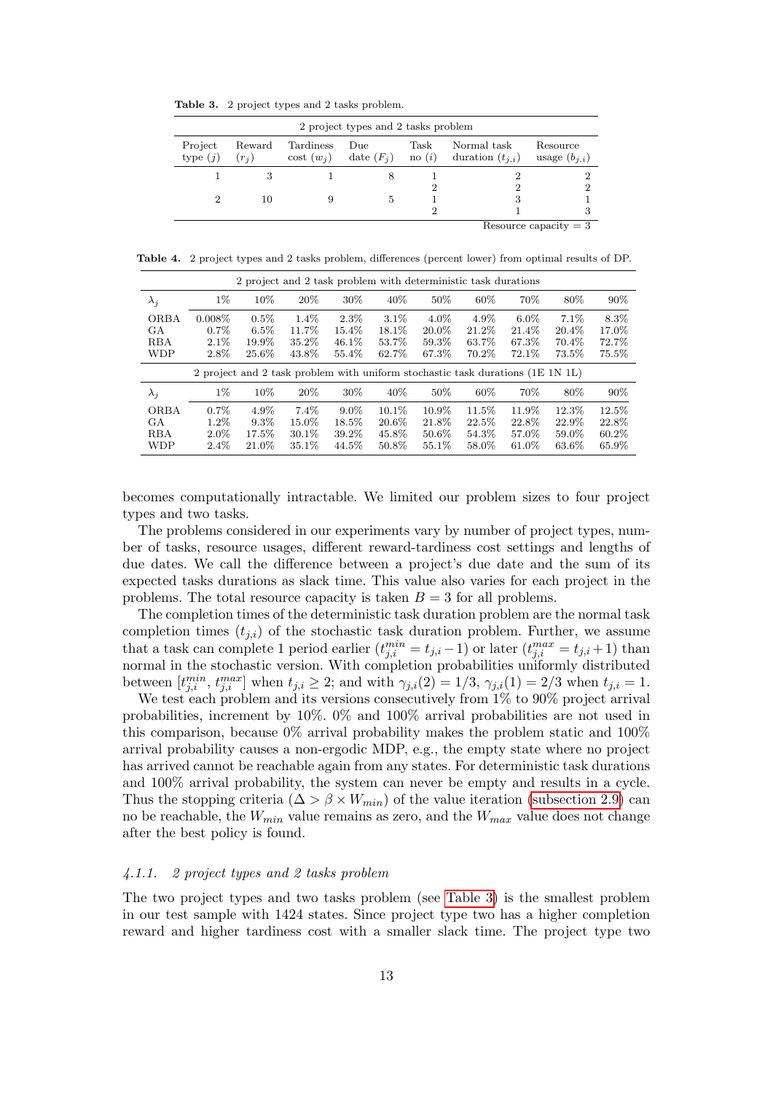<span id="page-12-0"></span>Table 3. 2 project types and 2 tasks problem.

|                       |                   |                               | 2 project types and 2 tasks problem |                        |                                     |                               |
|-----------------------|-------------------|-------------------------------|-------------------------------------|------------------------|-------------------------------------|-------------------------------|
| Project<br>type $(j)$ | Reward<br>$(r_i)$ | Tardiness<br>$\cos t$ $(w_i)$ | Due<br>date $(F_i)$                 | Task<br>$\text{no}(i)$ | Normal task<br>duration $(t_{i,i})$ | Resource<br>usage $(b_{i,i})$ |
|                       |                   |                               | 8                                   |                        |                                     |                               |
|                       |                   |                               |                                     | 2                      |                                     | ച                             |
| 2                     | 10                |                               | 5                                   |                        | З                                   |                               |
|                       |                   |                               |                                     | 2                      |                                     |                               |
|                       |                   |                               |                                     |                        |                                     | Resource capacity $= 3$       |

Table 4. 2 project types and 2 tasks problem, differences (percent lower) from optimal results of DP.

|                                               |                                          | 2 project and 2 task problem with deterministic task durations                 |                                       |                                     |                                     |                                    |                                  |                                     |                                     |                                     |
|-----------------------------------------------|------------------------------------------|--------------------------------------------------------------------------------|---------------------------------------|-------------------------------------|-------------------------------------|------------------------------------|----------------------------------|-------------------------------------|-------------------------------------|-------------------------------------|
| $\lambda_i$                                   | $1\%$                                    | 10%                                                                            | 20%                                   | 30%                                 | 40\%                                | 50%                                | 60%                              | 70%                                 | 80\%                                | 90%                                 |
| <b>ORBA</b><br>GА<br><b>RBA</b><br><b>WDP</b> | $0.008\%$<br>$0.7\%$<br>$2.1\%$<br>2.8%  | 0.5%<br>$6.5\%$<br>19.9%<br>25.6%                                              | $1.4\%$<br>11.7%<br>35.2%<br>43.8%    | $2.3\%$<br>15.4%<br>46.1\%<br>55.4% | 3.1%<br>18.1%<br>53.7%<br>62.7%     | $4.0\%$<br>20.0%<br>59.3%<br>67.3% | 4.9%<br>21.2%<br>63.7%<br>70.2%  | $6.0\%$<br>21.4%<br>67.3%<br>72.1\% | 7.1%<br>20.4%<br>70.4%<br>73.5%     | 8.3%<br>17.0%<br>72.7%<br>75.5%     |
|                                               |                                          | 2 project and 2 task problem with uniform stochastic task durations (1E 1N 1L) |                                       |                                     |                                     |                                    |                                  |                                     |                                     |                                     |
| $\lambda_i$                                   | $1\%$                                    | 10%                                                                            | 20%                                   | 30%                                 | 40\%                                | 50%                                | 60%                              | 70%                                 | 80%                                 | 90%                                 |
| <b>ORBA</b><br>GA<br>RBA<br><b>WDP</b>        | $0.7\%$<br>$1.2\%$<br>$2.0\%$<br>$2.4\%$ | $4.9\%$<br>$9.3\%$<br>17.5%<br>21.0%                                           | $7.4\%$<br>15.0%<br>$30.1\%$<br>35.1% | $9.0\%$<br>18.5%<br>39.2%<br>44.5%  | $10.1\%$<br>20.6%<br>45.8%<br>50.8% | 10.9%<br>21.8%<br>50.6%<br>55.1%   | 11.5%<br>22.5%<br>54.3%<br>58.0% | 11.9%<br>22.8%<br>57.0%<br>61.0%    | 12.3%<br>22.9%<br>59.0%<br>$63.6\%$ | 12.5%<br>22.8%<br>$60.2\%$<br>65.9% |

becomes computationally intractable. We limited our problem sizes to four project types and two tasks.

The problems considered in our experiments vary by number of project types, number of tasks, resource usages, different reward-tardiness cost settings and lengths of due dates. We call the difference between a project's due date and the sum of its expected tasks durations as slack time. This value also varies for each project in the problems. The total resource capacity is taken  $B = 3$  for all problems.

The completion times of the deterministic task duration problem are the normal task completion times  $(t_{i,i})$  of the stochastic task duration problem. Further, we assume that a task can complete 1 period earlier  $(t_{j,i}^{min} = t_{j,i} - 1)$  or later  $(t_{j,i}^{max} = t_{j,i} + 1)$  than normal in the stochastic version. With completion probabilities uniformly distributed between  $[t_{j,i}^{min}, t_{j,i}^{max}]$  when  $t_{j,i} \geq 2$ ; and with  $\gamma_{j,i}(2) = 1/3$ ,  $\gamma_{j,i}(1) = 2/3$  when  $t_{j,i} = 1$ .

We test each problem and its versions consecutively from 1% to 90% project arrival probabilities, increment by 10%. 0% and 100% arrival probabilities are not used in this comparison, because  $0\%$  arrival probability makes the problem static and  $100\%$ arrival probability causes a non-ergodic MDP, e.g., the empty state where no project has arrived cannot be reachable again from any states. For deterministic task durations and 100% arrival probability, the system can never be empty and results in a cycle. Thus the stopping criteria ( $\Delta > \beta \times W_{min}$ ) of the value iteration [\(subsection 2.9\)](#page-9-1) can no be reachable, the  $W_{min}$  value remains as zero, and the  $W_{max}$  value does not change after the best policy is found.

### 4.1.1. 2 project types and 2 tasks problem

The two project types and two tasks problem (see [Table 3\)](#page-12-0) is the smallest problem in our test sample with 1424 states. Since project type two has a higher completion reward and higher tardiness cost with a smaller slack time. The project type two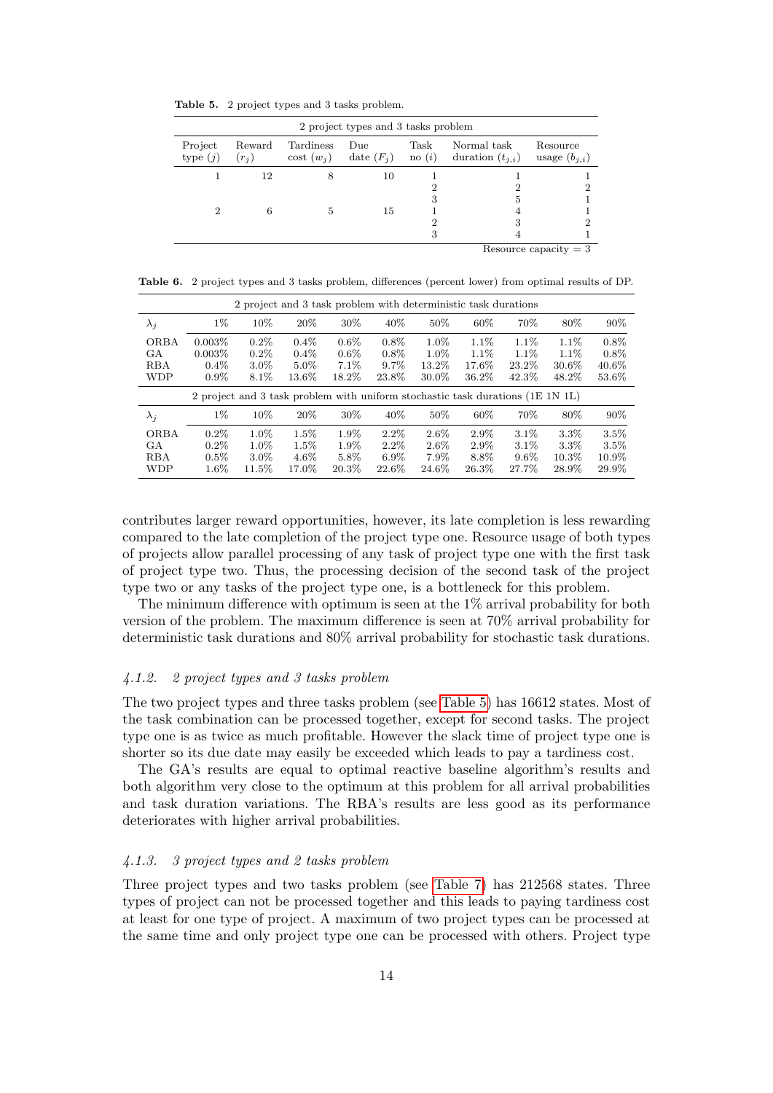<span id="page-13-0"></span>Table 5. 2 project types and 3 tasks problem.

|                       |                   |                               | 2 project types and 3 tasks problem |                         |                                     |                               |
|-----------------------|-------------------|-------------------------------|-------------------------------------|-------------------------|-------------------------------------|-------------------------------|
| Project<br>type $(j)$ | Reward<br>$(r_i)$ | Tardiness<br>$\cos t$ $(w_i)$ | Due<br>date $(F_i)$                 | Task<br>$\neq$ no $(i)$ | Normal task<br>duration $(t_{i,i})$ | Resource<br>usage $(b_{j,i})$ |
|                       | 12                | 8                             | 10                                  |                         |                                     |                               |
|                       |                   |                               |                                     | 2                       | 2                                   | 2                             |
|                       |                   |                               |                                     | 3                       | 5                                   |                               |
|                       | 6                 | 5                             | 15                                  |                         |                                     |                               |
|                       |                   |                               |                                     | 2                       | 3                                   | 2                             |
|                       |                   |                               |                                     | 3                       |                                     |                               |
|                       |                   |                               |                                     |                         |                                     | Resource capacity $=$ 3       |

Table 6. 2 project types and 3 tasks problem, differences (percent lower) from optimal results of DP.

|             |                                                                                |         |         | 2 project and 3 task problem with deterministic task durations |         |          |       |         |          |          |
|-------------|--------------------------------------------------------------------------------|---------|---------|----------------------------------------------------------------|---------|----------|-------|---------|----------|----------|
| $\lambda_i$ | $1\%$                                                                          | 10%     | 20%     | 30%                                                            | 40\%    | 50%      | 60%   | 70%     | 80%      | 90%      |
| <b>ORBA</b> | $0.003\%$                                                                      | $0.2\%$ | $0.4\%$ | $0.6\%$                                                        | $0.8\%$ | $1.0\%$  | 1.1\% | 1.1\%   | 1.1\%    | $0.8\%$  |
| GA.         | $0.003\%$                                                                      | $0.2\%$ | $0.4\%$ | $0.6\%$                                                        | $0.8\%$ | $1.0\%$  | 1.1\% | 1.1\%   | $1.1\%$  | $0.8\%$  |
| <b>RBA</b>  | $0.4\%$                                                                        | $3.0\%$ | 5.0%    | 7.1%                                                           | $9.7\%$ | 13.2\%   | 17.6% | 23.2\%  | 30.6%    | $40.6\%$ |
| <b>WDP</b>  | $0.9\%$                                                                        | 8.1%    | 13.6%   | 18.2%                                                          | 23.8%   | $30.0\%$ | 36.2% | 42.3%   | 48.2%    | 53.6%    |
|             | 2 project and 3 task problem with uniform stochastic task durations (1E 1N 1L) |         |         |                                                                |         |          |       |         |          |          |
| $\lambda_i$ | $1\%$                                                                          | 10%     | 20%     | 30%                                                            | 40\%    | 50%      | 60%   | 70%     | 80%      | 90%      |
| <b>ORBA</b> | $0.2\%$                                                                        | 1.0%    | $1.5\%$ | 1.9%                                                           | $2.2\%$ | $2.6\%$  | 2.9%  | 3.1%    | $3.3\%$  | 3.5%     |
| GA          | $0.2\%$                                                                        | $1.0\%$ | $1.5\%$ | 1.9%                                                           | $2.2\%$ | $2.6\%$  | 2.9%  | 3.1%    | $3.3\%$  | 3.5%     |
| <b>RBA</b>  | $0.5\%$                                                                        | $3.0\%$ | $4.6\%$ | 5.8%                                                           | $6.9\%$ | 7.9%     | 8.8%  | $9.6\%$ | $10.3\%$ | 10.9%    |
| <b>WDP</b>  | $1.6\%$                                                                        | 11.5%   | 17.0%   | 20.3%                                                          | 22.6%   | 24.6%    | 26.3% | 27.7%   | 28.9%    | 29.9%    |

contributes larger reward opportunities, however, its late completion is less rewarding compared to the late completion of the project type one. Resource usage of both types of projects allow parallel processing of any task of project type one with the first task of project type two. Thus, the processing decision of the second task of the project type two or any tasks of the project type one, is a bottleneck for this problem.

The minimum difference with optimum is seen at the 1% arrival probability for both version of the problem. The maximum difference is seen at 70% arrival probability for deterministic task durations and 80% arrival probability for stochastic task durations.

# 4.1.2. 2 project types and 3 tasks problem

The two project types and three tasks problem (see [Table 5\)](#page-13-0) has 16612 states. Most of the task combination can be processed together, except for second tasks. The project type one is as twice as much profitable. However the slack time of project type one is shorter so its due date may easily be exceeded which leads to pay a tardiness cost.

The GA's results are equal to optimal reactive baseline algorithm's results and both algorithm very close to the optimum at this problem for all arrival probabilities and task duration variations. The RBA's results are less good as its performance deteriorates with higher arrival probabilities.

# 4.1.3. 3 project types and 2 tasks problem

Three project types and two tasks problem (see [Table 7\)](#page-14-0) has 212568 states. Three types of project can not be processed together and this leads to paying tardiness cost at least for one type of project. A maximum of two project types can be processed at the same time and only project type one can be processed with others. Project type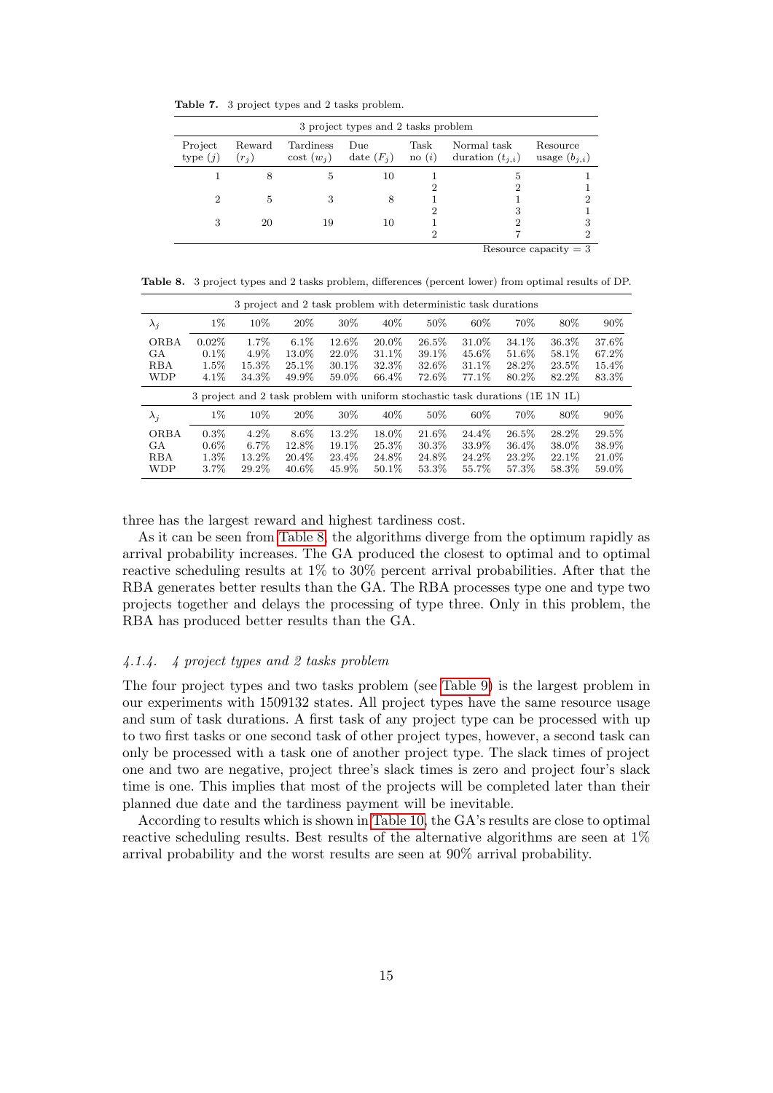<span id="page-14-0"></span>Table 7. 3 project types and 2 tasks problem.

|                       |                   |                               | 3 project types and 2 tasks problem |                         |                                     |                               |
|-----------------------|-------------------|-------------------------------|-------------------------------------|-------------------------|-------------------------------------|-------------------------------|
| Project<br>type $(j)$ | Reward<br>$(r_i)$ | Tardiness<br>$\cos t$ $(w_i)$ | Due<br>date $(F_i)$                 | Task<br>$\neq$ no $(i)$ | Normal task<br>duration $(t_{i,i})$ | Resource<br>usage $(b_{j,i})$ |
|                       | 8                 | 5                             | 10                                  |                         | 5                                   |                               |
|                       |                   |                               |                                     | 2                       | 2                                   |                               |
| 2                     | 5                 | 3                             | 8                                   |                         |                                     | 2                             |
|                       |                   |                               |                                     | 2                       | З                                   |                               |
| 3                     | 20                | 19                            | 10                                  |                         | 2                                   | 3                             |
|                       |                   |                               |                                     | 2                       |                                     | 2                             |
|                       |                   |                               |                                     |                         |                                     | Resource capacity $=$ 3       |

<span id="page-14-1"></span>Table 8. 3 project types and 2 tasks problem, differences (percent lower) from optimal results of DP.

|             |          |         |          | 3 project and 2 task problem with deterministic task durations                 |        |       |       |        |        |        |
|-------------|----------|---------|----------|--------------------------------------------------------------------------------|--------|-------|-------|--------|--------|--------|
| $\lambda_i$ | $1\%$    | 10%     | 20%      | 30%                                                                            | 40\%   | 50%   | 60%   | 70%    | 80%    | $90\%$ |
| <b>ORBA</b> | $0.02\%$ | 1.7%    | $6.1\%$  | 12.6%                                                                          | 20.0%  | 26.5% | 31.0% | 34.1%  | 36.3%  | 37.6%  |
| GА          | $0.1\%$  | 4.9%    | 13.0%    | 22.0%                                                                          | 31.1\% | 39.1% | 45.6% | 51.6%  | 58.1\% | 67.2%  |
| <b>RBA</b>  | $1.5\%$  | 15.3%   | $25.1\%$ | 30.1%                                                                          | 32.3%  | 32.6% | 31.1% | 28.2%  | 23.5%  | 15.4%  |
| <b>WDP</b>  | $4.1\%$  | 34.3%   | 49.9%    | 59.0%                                                                          | 66.4%  | 72.6% | 77.1% | 80.2%  | 82.2%  | 83.3%  |
|             |          |         |          |                                                                                |        |       |       |        |        |        |
|             |          |         |          | 3 project and 2 task problem with uniform stochastic task durations (1E 1N 1L) |        |       |       |        |        |        |
| $\lambda_i$ | $1\%$    | 10%     | 20%      | 30%                                                                            | 40%    | 50%   | 60%   | 70%    | 80%    | $90\%$ |
| <b>ORBA</b> | $0.3\%$  | $4.2\%$ | 8.6%     | 13.2%                                                                          | 18.0%  | 21.6% | 24.4% | 26.5%  | 28.2%  | 29.5%  |
| GА          | $0.6\%$  | $6.7\%$ | 12.8%    | 19.1\%                                                                         | 25.3%  | 30.3% | 33.9% | 36.4%  | 38.0%  | 38.9%  |
| <b>RBA</b>  | $1.3\%$  | 13.2%   | 20.4\%   | 23.4\%                                                                         | 24.8%  | 24.8% | 24.2% | 23.2\% | 22.1\% | 21.0%  |

three has the largest reward and highest tardiness cost.

As it can be seen from [Table 8,](#page-14-1) the algorithms diverge from the optimum rapidly as arrival probability increases. The GA produced the closest to optimal and to optimal reactive scheduling results at 1% to 30% percent arrival probabilities. After that the RBA generates better results than the GA. The RBA processes type one and type two projects together and delays the processing of type three. Only in this problem, the RBA has produced better results than the GA.

# 4.1.4. 4 project types and 2 tasks problem

The four project types and two tasks problem (see [Table 9\)](#page-15-1) is the largest problem in our experiments with 1509132 states. All project types have the same resource usage and sum of task durations. A first task of any project type can be processed with up to two first tasks or one second task of other project types, however, a second task can only be processed with a task one of another project type. The slack times of project one and two are negative, project three's slack times is zero and project four's slack time is one. This implies that most of the projects will be completed later than their planned due date and the tardiness payment will be inevitable.

According to results which is shown in [Table 10,](#page-15-2) the GA's results are close to optimal reactive scheduling results. Best results of the alternative algorithms are seen at 1% arrival probability and the worst results are seen at 90% arrival probability.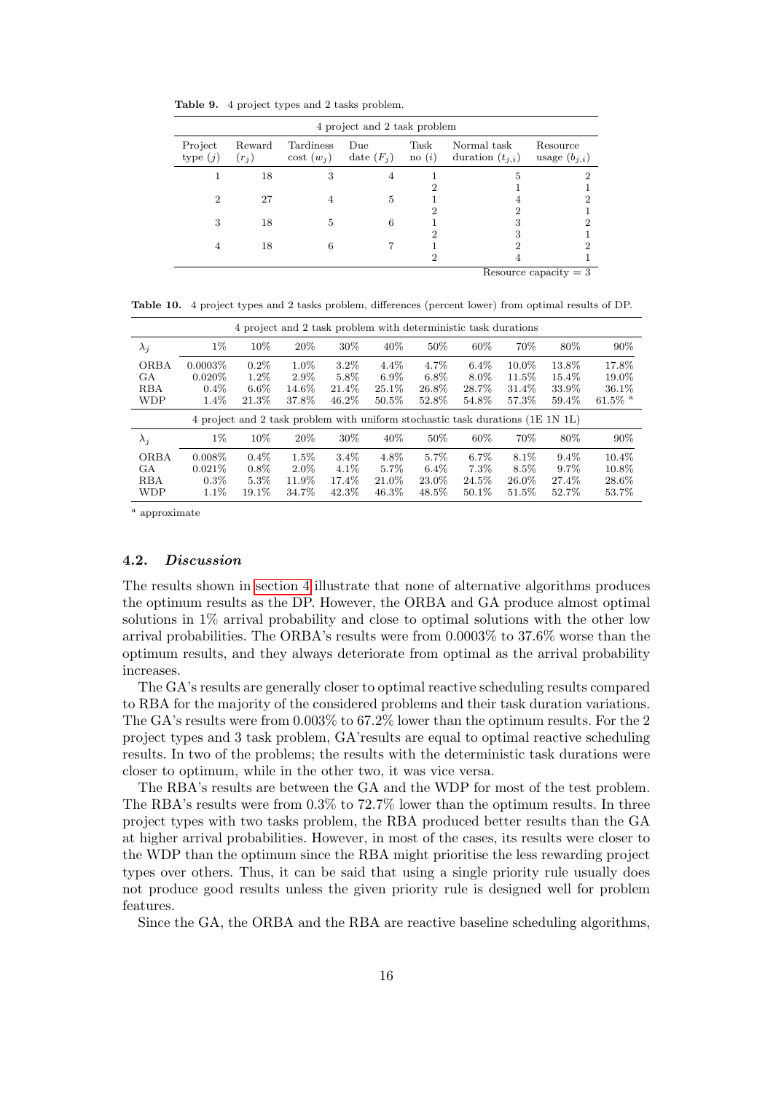<span id="page-15-1"></span>Table 9. 4 project types and 2 tasks problem.

|                       |                   |                          | 4 project and 2 task problem |                        |                                     |                               |
|-----------------------|-------------------|--------------------------|------------------------------|------------------------|-------------------------------------|-------------------------------|
| Project<br>type $(j)$ | Reward<br>$(r_j)$ | Tardiness<br>$\cot(w_i)$ | Due<br>date $(F_i)$          | Task<br>$\text{no}(i)$ | Normal task<br>duration $(t_{i,i})$ | Resource<br>usage $(b_{j,i})$ |
|                       | 18                | 3                        |                              |                        | 5                                   |                               |
|                       |                   |                          |                              |                        |                                     |                               |
| $\overline{2}$        | 27                |                          | 5                            |                        |                                     | 2                             |
|                       |                   |                          |                              | 2                      |                                     |                               |
| 3                     | 18                | 5                        | 6                            |                        | 3                                   | 2                             |
|                       |                   |                          |                              | 2                      | 3                                   |                               |
|                       | 18                | 6                        |                              |                        | 2                                   | 9                             |
|                       |                   |                          |                              | 2                      |                                     |                               |
|                       |                   |                          |                              |                        |                                     | Resource capacity $=$ 3       |

<span id="page-15-2"></span>Table 10. 4 project types and 2 tasks problem, differences (percent lower) from optimal results of DP.

|                                               |                                               | 4 project and 2 task problem with deterministic task durations                 |                                   |                                |                                         |                                   |                                      |                                  |                                  |                                             |
|-----------------------------------------------|-----------------------------------------------|--------------------------------------------------------------------------------|-----------------------------------|--------------------------------|-----------------------------------------|-----------------------------------|--------------------------------------|----------------------------------|----------------------------------|---------------------------------------------|
| $\lambda_i$                                   | $1\%$                                         | 10%                                                                            | 20\%                              | 30%                            | 40\%                                    | 50%                               | 60%                                  | 70%                              | 80\%                             | $90\%$                                      |
| <b>ORBA</b><br>GА<br><b>RBA</b><br><b>WDP</b> | $0.0003\%$<br>$0.020\%$<br>$0.4\%$<br>$1.4\%$ | $0.2\%$<br>$1.2\%$<br>$6.6\%$<br>21.3%                                         | 1.0%<br>$2.9\%$<br>14.6%<br>37.8% | 3.2%<br>5.8%<br>21.4%<br>46.2% | $4.4\%$<br>$6.9\%$<br>$25.1\%$<br>50.5% | 4.7%<br>$6.8\%$<br>26.8%<br>52.8% | $6.4\%$<br>$8.0\%$<br>28.7%<br>54.8% | 10.0%<br>11.5%<br>31.4%<br>57.3% | 13.8%<br>15.4%<br>33.9%<br>59.4% | 17.8%<br>19.0%<br>36.1%<br>61.5% $^{\rm a}$ |
|                                               |                                               |                                                                                |                                   |                                |                                         |                                   |                                      |                                  |                                  |                                             |
|                                               |                                               | 4 project and 2 task problem with uniform stochastic task durations (1E 1N 1L) |                                   |                                |                                         |                                   |                                      |                                  |                                  |                                             |
| $\lambda_i$                                   | $1\%$                                         | 10%                                                                            | 20\%                              | 30%                            | 40\%                                    | 50%                               | 60%                                  | 70\%                             | 80%                              | $90\%$                                      |

<sup>a</sup> approximate

# <span id="page-15-0"></span>4.2. Discussion

The results shown in [section 4](#page-11-0) illustrate that none of alternative algorithms produces the optimum results as the DP. However, the ORBA and GA produce almost optimal solutions in 1% arrival probability and close to optimal solutions with the other low arrival probabilities. The ORBA's results were from 0.0003% to 37.6% worse than the optimum results, and they always deteriorate from optimal as the arrival probability increases.

The GA's results are generally closer to optimal reactive scheduling results compared to RBA for the majority of the considered problems and their task duration variations. The GA's results were from 0.003% to 67.2% lower than the optimum results. For the 2 project types and 3 task problem, GA'results are equal to optimal reactive scheduling results. In two of the problems; the results with the deterministic task durations were closer to optimum, while in the other two, it was vice versa.

The RBA's results are between the GA and the WDP for most of the test problem. The RBA's results were from 0.3% to 72.7% lower than the optimum results. In three project types with two tasks problem, the RBA produced better results than the GA at higher arrival probabilities. However, in most of the cases, its results were closer to the WDP than the optimum since the RBA might prioritise the less rewarding project types over others. Thus, it can be said that using a single priority rule usually does not produce good results unless the given priority rule is designed well for problem features.

Since the GA, the ORBA and the RBA are reactive baseline scheduling algorithms,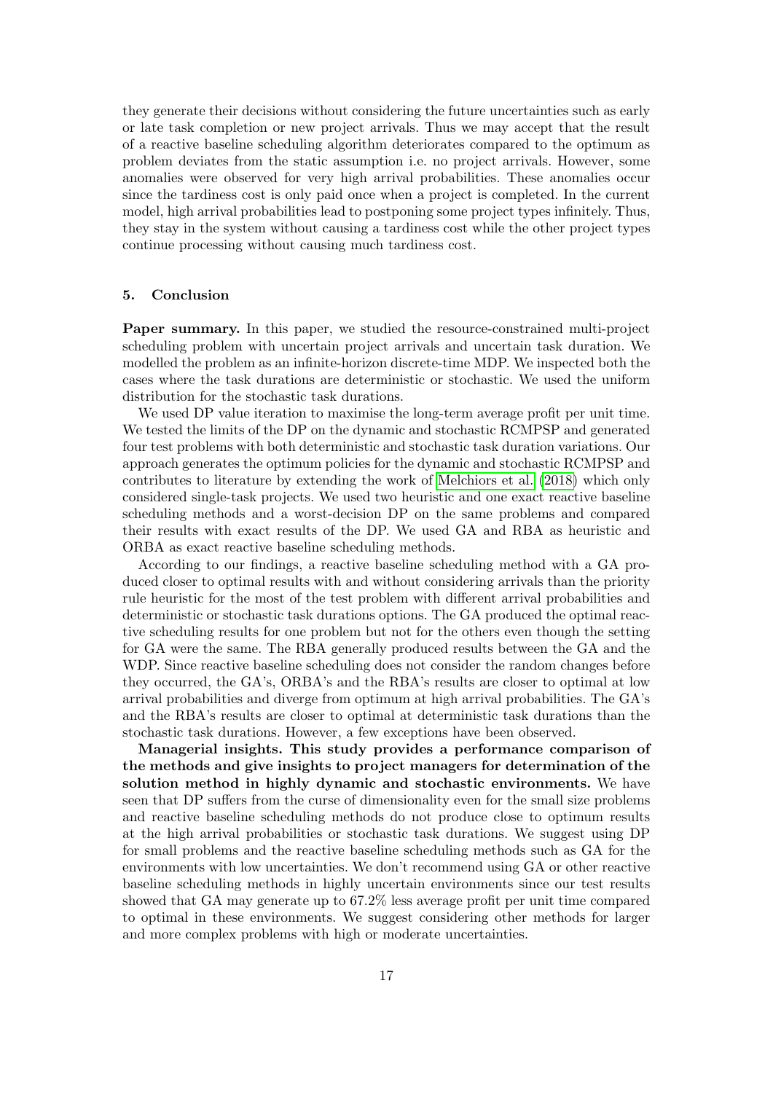they generate their decisions without considering the future uncertainties such as early or late task completion or new project arrivals. Thus we may accept that the result of a reactive baseline scheduling algorithm deteriorates compared to the optimum as problem deviates from the static assumption i.e. no project arrivals. However, some anomalies were observed for very high arrival probabilities. These anomalies occur since the tardiness cost is only paid once when a project is completed. In the current model, high arrival probabilities lead to postponing some project types infinitely. Thus, they stay in the system without causing a tardiness cost while the other project types continue processing without causing much tardiness cost.

# <span id="page-16-0"></span>5. Conclusion

Paper summary. In this paper, we studied the resource-constrained multi-project scheduling problem with uncertain project arrivals and uncertain task duration. We modelled the problem as an infinite-horizon discrete-time MDP. We inspected both the cases where the task durations are deterministic or stochastic. We used the uniform distribution for the stochastic task durations.

We used DP value iteration to maximise the long-term average profit per unit time. We tested the limits of the DP on the dynamic and stochastic RCMPSP and generated four test problems with both deterministic and stochastic task duration variations. Our approach generates the optimum policies for the dynamic and stochastic RCMPSP and contributes to literature by extending the work of [Melchiors et al.](#page-18-7) [\(2018\)](#page-18-7) which only considered single-task projects. We used two heuristic and one exact reactive baseline scheduling methods and a worst-decision DP on the same problems and compared their results with exact results of the DP. We used GA and RBA as heuristic and ORBA as exact reactive baseline scheduling methods.

According to our findings, a reactive baseline scheduling method with a GA produced closer to optimal results with and without considering arrivals than the priority rule heuristic for the most of the test problem with different arrival probabilities and deterministic or stochastic task durations options. The GA produced the optimal reactive scheduling results for one problem but not for the others even though the setting for GA were the same. The RBA generally produced results between the GA and the WDP. Since reactive baseline scheduling does not consider the random changes before they occurred, the GA's, ORBA's and the RBA's results are closer to optimal at low arrival probabilities and diverge from optimum at high arrival probabilities. The GA's and the RBA's results are closer to optimal at deterministic task durations than the stochastic task durations. However, a few exceptions have been observed.

Managerial insights. This study provides a performance comparison of the methods and give insights to project managers for determination of the solution method in highly dynamic and stochastic environments. We have seen that DP suffers from the curse of dimensionality even for the small size problems and reactive baseline scheduling methods do not produce close to optimum results at the high arrival probabilities or stochastic task durations. We suggest using DP for small problems and the reactive baseline scheduling methods such as GA for the environments with low uncertainties. We don't recommend using GA or other reactive baseline scheduling methods in highly uncertain environments since our test results showed that GA may generate up to 67.2% less average profit per unit time compared to optimal in these environments. We suggest considering other methods for larger and more complex problems with high or moderate uncertainties.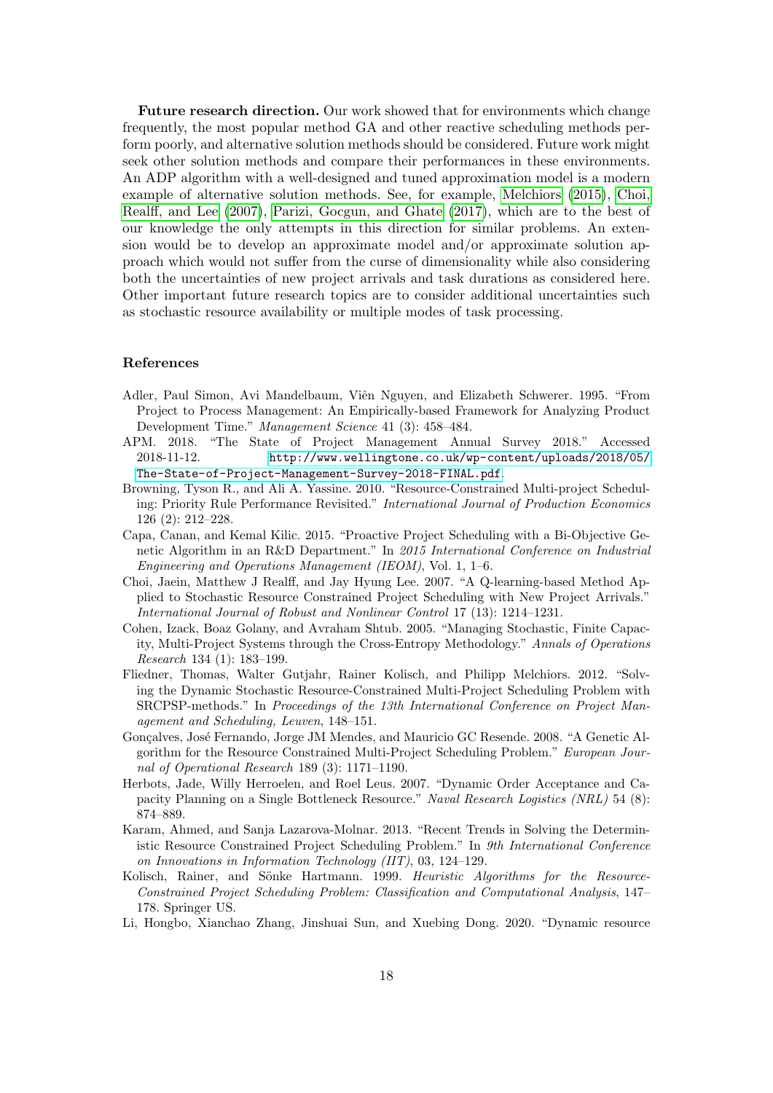Future research direction. Our work showed that for environments which change frequently, the most popular method GA and other reactive scheduling methods perform poorly, and alternative solution methods should be considered. Future work might seek other solution methods and compare their performances in these environments. An ADP algorithm with a well-designed and tuned approximation model is a modern example of alternative solution methods. See, for example, [Melchiors](#page-18-6) [\(2015\)](#page-18-6), [Choi,](#page-17-9) [Realff, and Lee](#page-17-9) [\(2007\)](#page-17-9), [Parizi, Gocgun, and Ghate](#page-18-5) [\(2017\)](#page-18-5), which are to the best of our knowledge the only attempts in this direction for similar problems. An extension would be to develop an approximate model and/or approximate solution approach which would not suffer from the curse of dimensionality while also considering both the uncertainties of new project arrivals and task durations as considered here. Other important future research topics are to consider additional uncertainties such as stochastic resource availability or multiple modes of task processing.

# References

- <span id="page-17-7"></span>Adler, Paul Simon, Avi Mandelbaum, Viên Nguyen, and Elizabeth Schwerer. 1995. "From Project to Process Management: An Empirically-based Framework for Analyzing Product Development Time." Management Science 41 (3): 458–484.
- <span id="page-17-0"></span>APM. 2018. "The State of Project Management Annual Survey 2018." Accessed 2018-11-12. [http://www.wellingtone.co.uk/wp-content/uploads/2018/05/](http://www.wellingtone.co.uk/wp-content/uploads/2018/05/The-State-of-Project-Management-Survey-2018-FINAL.pdf) [The-State-of-Project-Management-Survey-2018-FINAL.pdf](http://www.wellingtone.co.uk/wp-content/uploads/2018/05/The-State-of-Project-Management-Survey-2018-FINAL.pdf).
- <span id="page-17-2"></span>Browning, Tyson R., and Ali A. Yassine. 2010. "Resource-Constrained Multi-project Scheduling: Priority Rule Performance Revisited." International Journal of Production Economics 126 (2): 212–228.
- <span id="page-17-6"></span>Capa, Canan, and Kemal Kilic. 2015. "Proactive Project Scheduling with a Bi-Objective Genetic Algorithm in an R&D Department." In 2015 International Conference on Industrial Engineering and Operations Management (IEOM), Vol. 1, 1–6.
- <span id="page-17-9"></span>Choi, Jaein, Matthew J Realff, and Jay Hyung Lee. 2007. "A Q-learning-based Method Applied to Stochastic Resource Constrained Project Scheduling with New Project Arrivals." International Journal of Robust and Nonlinear Control 17 (13): 1214–1231.
- <span id="page-17-8"></span>Cohen, Izack, Boaz Golany, and Avraham Shtub. 2005. "Managing Stochastic, Finite Capacity, Multi-Project Systems through the Cross-Entropy Methodology." Annals of Operations Research 134 (1): 183–199.
- <span id="page-17-10"></span>Fliedner, Thomas, Walter Gutjahr, Rainer Kolisch, and Philipp Melchiors. 2012. "Solving the Dynamic Stochastic Resource-Constrained Multi-Project Scheduling Problem with SRCPSP-methods." In Proceedings of the 13th International Conference on Project Management and Scheduling, Leuven, 148–151.
- <span id="page-17-1"></span>Gonçalves, José Fernando, Jorge JM Mendes, and Mauricio GC Resende. 2008. "A Genetic Algorithm for the Resource Constrained Multi-Project Scheduling Problem." European Journal of Operational Research 189 (3): 1171–1190.
- <span id="page-17-5"></span>Herbots, Jade, Willy Herroelen, and Roel Leus. 2007. "Dynamic Order Acceptance and Capacity Planning on a Single Bottleneck Resource." Naval Research Logistics (NRL) 54 (8): 874–889.
- <span id="page-17-4"></span>Karam, Ahmed, and Sanja Lazarova-Molnar. 2013. "Recent Trends in Solving the Deterministic Resource Constrained Project Scheduling Problem." In 9th International Conference on Innovations in Information Technology (IIT), 03, 124–129.
- <span id="page-17-11"></span>Kolisch, Rainer, and Sönke Hartmann. 1999. Heuristic Algorithms for the Resource-Constrained Project Scheduling Problem: Classification and Computational Analysis, 147– 178. Springer US.
- <span id="page-17-3"></span>Li, Hongbo, Xianchao Zhang, Jinshuai Sun, and Xuebing Dong. 2020. "Dynamic resource